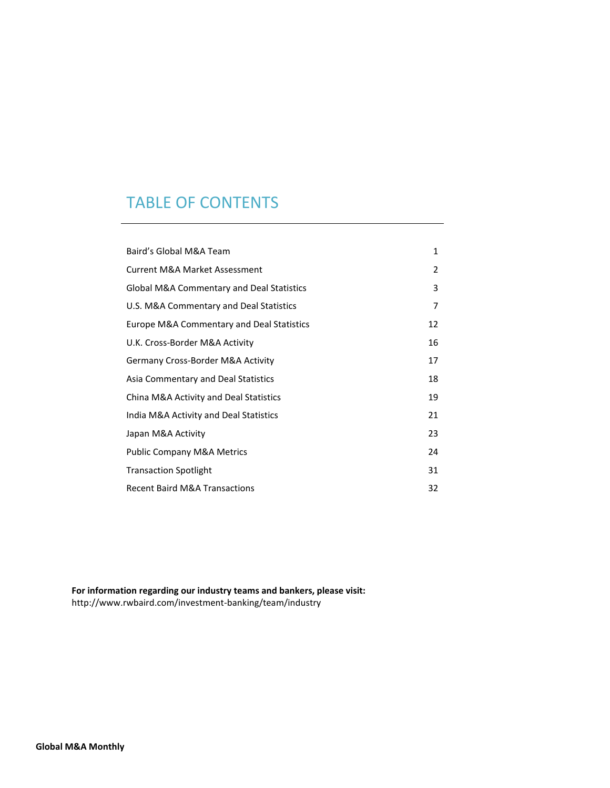## TABLE OF CONTENTS

| Baird's Global M&A Team                              | 1              |
|------------------------------------------------------|----------------|
| <b>Current M&amp;A Market Assessment</b>             | $\overline{2}$ |
| <b>Global M&amp;A Commentary and Deal Statistics</b> | 3              |
| U.S. M&A Commentary and Deal Statistics              | 7              |
| <b>Europe M&amp;A Commentary and Deal Statistics</b> | 12             |
| U.K. Cross-Border M&A Activity                       | 16             |
| Germany Cross-Border M&A Activity                    | 17             |
| Asia Commentary and Deal Statistics                  | 18             |
| China M&A Activity and Deal Statistics               | 19             |
| India M&A Activity and Deal Statistics               | 21             |
| Japan M&A Activity                                   | 23             |
| <b>Public Company M&amp;A Metrics</b>                | 24             |
| <b>Transaction Spotlight</b>                         | 31             |
| <b>Recent Baird M&amp;A Transactions</b>             | 32             |

**For information regarding our industry teams and bankers, please visit:** <http://www.rwbaird.com/investment-banking/team/industry>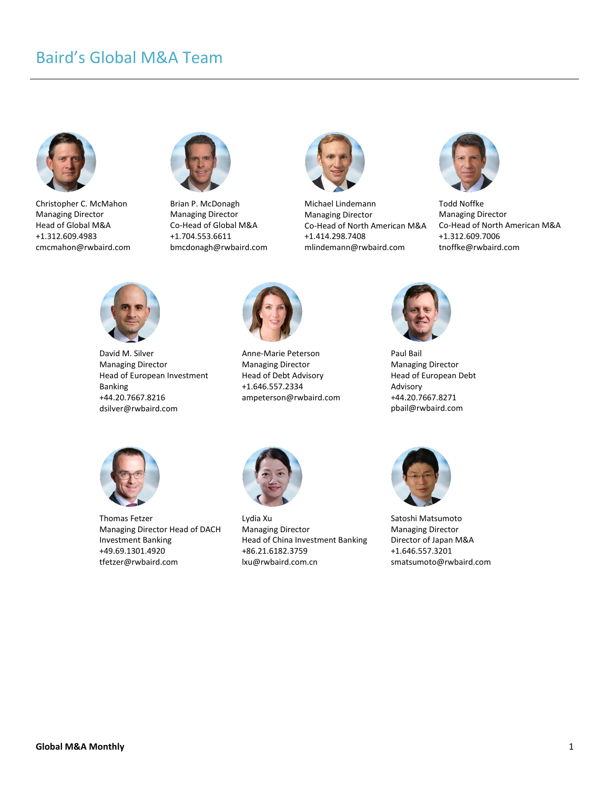# Baird's Global M&A Team



Christopher C. McMahon Managing Director Head of Global M&A +1.312.609.4983 cmcmahon@rwbaird.com



Brian P. McDonagh Managing Director Co-Head of Global M&A +1.704.553.6611 bmcdonagh@rwbaird.com



Michael Lindemann Managing Director Co-Head of North American M&A +1.414.298.7408 mlindemann@rwbaird.com



Todd Noffke Managing Director Co-Head of North American M&A +1.312.609.7006 tnoffke@rwbaird.com



David M. Silver Managing Director Head of European Investment Banking +44.20.7667.8216 dsilver@rwbaird.com



Anne-Marie Peterson Managing Director Head of Debt Advisory +1.646.557.2334 ampeterson@rwbaird.com



Paul Bail Managing Director Head of European Debt Advisory +44.20.7667.8271 pbail@rwbaird.com



Thomas Fetzer Managing Director Head of DACH Investment Banking +49.69.1301.4920 tfetzer@rwbaird.com



Lydia Xu Managing Director Head of China Investment Banking +86.21.6182.3759 lxu@rwbaird.com.cn



Satoshi Matsumoto Managing Director Director of Japan M&A +1.646.557.3201 smatsumoto@rwbaird.com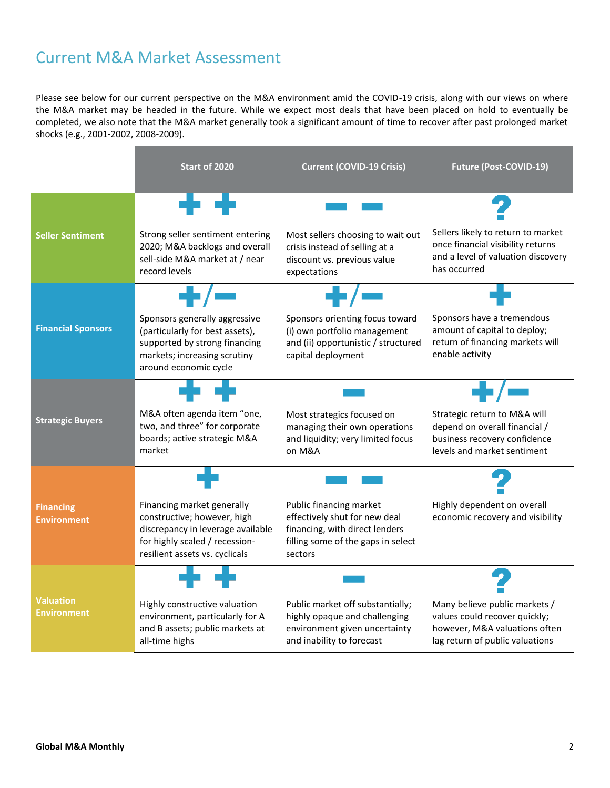## Current M&A Market Assessment

Please see below for our current perspective on the M&A environment amid the COVID-19 crisis, along with our views on where the M&A market may be headed in the future. While we expect most deals that have been placed on hold to eventually be completed, we also note that the M&A market generally took a significant amount of time to recover after past prolonged market shocks (e.g., 2001-2002, 2008-2009).

|                                        | <b>Start of 2020</b>                                                                                                                                               | <b>Current (COVID-19 Crisis)</b>                                                                                                            | <b>Future (Post-COVID-19)</b>                                                                                                      |
|----------------------------------------|--------------------------------------------------------------------------------------------------------------------------------------------------------------------|---------------------------------------------------------------------------------------------------------------------------------------------|------------------------------------------------------------------------------------------------------------------------------------|
|                                        | . .                                                                                                                                                                |                                                                                                                                             |                                                                                                                                    |
| <b>Seller Sentiment</b>                | Strong seller sentiment entering<br>2020; M&A backlogs and overall<br>sell-side M&A market at / near<br>record levels                                              | Most sellers choosing to wait out<br>crisis instead of selling at a<br>discount vs. previous value<br>expectations                          | Sellers likely to return to market<br>once financial visibility returns<br>and a level of valuation discovery<br>has occurred      |
|                                        |                                                                                                                                                                    |                                                                                                                                             |                                                                                                                                    |
| <b>Financial Sponsors</b>              | Sponsors generally aggressive<br>(particularly for best assets),<br>supported by strong financing<br>markets; increasing scrutiny<br>around economic cycle         | Sponsors orienting focus toward<br>(i) own portfolio management<br>and (ii) opportunistic / structured<br>capital deployment                | Sponsors have a tremendous<br>amount of capital to deploy;<br>return of financing markets will<br>enable activity                  |
|                                        |                                                                                                                                                                    |                                                                                                                                             |                                                                                                                                    |
| <b>Strategic Buyers</b>                | M&A often agenda item "one,<br>two, and three" for corporate<br>boards; active strategic M&A<br>market                                                             | Most strategics focused on<br>managing their own operations<br>and liquidity; very limited focus<br>on M&A                                  | Strategic return to M&A will<br>depend on overall financial /<br>business recovery confidence<br>levels and market sentiment       |
|                                        |                                                                                                                                                                    |                                                                                                                                             |                                                                                                                                    |
| <b>Financing</b><br><b>Environment</b> | Financing market generally<br>constructive; however, high<br>discrepancy in leverage available<br>for highly scaled / recession-<br>resilient assets vs. cyclicals | Public financing market<br>effectively shut for new deal<br>financing, with direct lenders<br>filling some of the gaps in select<br>sectors | Highly dependent on overall<br>economic recovery and visibility                                                                    |
|                                        |                                                                                                                                                                    |                                                                                                                                             |                                                                                                                                    |
| <b>Valuation</b><br><b>Environment</b> | Highly constructive valuation<br>environment, particularly for A<br>and B assets; public markets at<br>all-time highs                                              | Public market off substantially;<br>highly opaque and challenging<br>environment given uncertainty<br>and inability to forecast             | Many believe public markets /<br>values could recover quickly;<br>however, M&A valuations often<br>lag return of public valuations |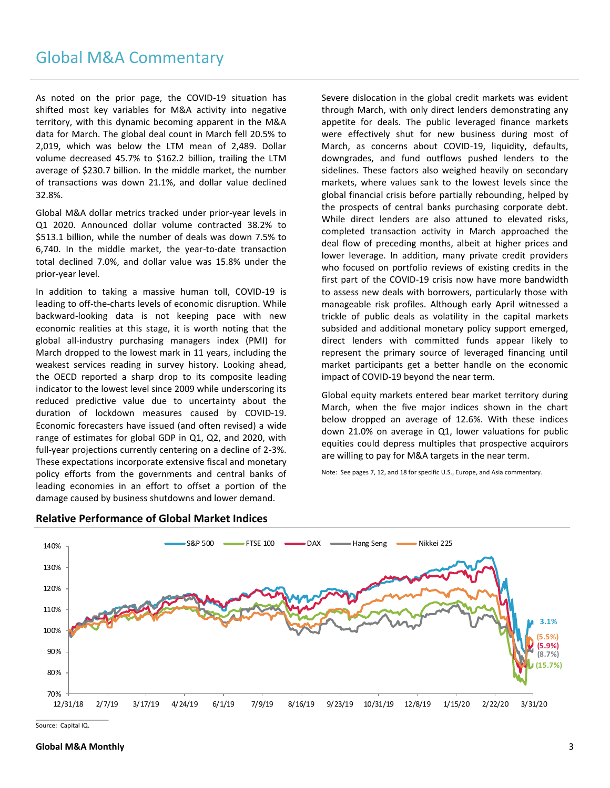## Global M&A Commentary

As noted on the prior page, the COVID-19 situation has shifted most key variables for M&A activity into negative territory, with this dynamic becoming apparent in the M&A data for March. The global deal count in March fell 20.5% to 2,019, which was below the LTM mean of 2,489. Dollar volume decreased 45.7% to \$162.2 billion, trailing the LTM average of \$230.7 billion. In the middle market, the number of transactions was down 21.1%, and dollar value declined 32.8%.

Global M&A dollar metrics tracked under prior-year levels in Q1 2020. Announced dollar volume contracted 38.2% to \$513.1 billion, while the number of deals was down 7.5% to 6,740. In the middle market, the year-to-date transaction total declined 7.0%, and dollar value was 15.8% under the prior-year level.

In addition to taking a massive human toll, COVID-19 is leading to off-the-charts levels of economic disruption. While backward-looking data is not keeping pace with new economic realities at this stage, it is worth noting that the global all-industry purchasing managers index (PMI) for March dropped to the lowest mark in 11 years, including the weakest services reading in survey history. Looking ahead, the OECD reported a sharp drop to its composite leading indicator to the lowest level since 2009 while underscoring its reduced predictive value due to uncertainty about the duration of lockdown measures caused by COVID-19. Economic forecasters have issued (and often revised) a wide range of estimates for global GDP in Q1, Q2, and 2020, with full-year projections currently centering on a decline of 2-3%. These expectations incorporate extensive fiscal and monetary policy efforts from the governments and central banks of leading economies in an effort to offset a portion of the damage caused by business shutdowns and lower demand.

Severe dislocation in the global credit markets was evident through March, with only direct lenders demonstrating any appetite for deals. The public leveraged finance markets were effectively shut for new business during most of March, as concerns about COVID-19, liquidity, defaults, downgrades, and fund outflows pushed lenders to the sidelines. These factors also weighed heavily on secondary markets, where values sank to the lowest levels since the global financial crisis before partially rebounding, helped by the prospects of central banks purchasing corporate debt. While direct lenders are also attuned to elevated risks, completed transaction activity in March approached the deal flow of preceding months, albeit at higher prices and lower leverage. In addition, many private credit providers who focused on portfolio reviews of existing credits in the first part of the COVID-19 crisis now have more bandwidth to assess new deals with borrowers, particularly those with manageable risk profiles. Although early April witnessed a trickle of public deals as volatility in the capital markets subsided and additional monetary policy support emerged, direct lenders with committed funds appear likely to represent the primary source of leveraged financing until market participants get a better handle on the economic impact of COVID-19 beyond the near term.

Global equity markets entered bear market territory during March, when the five major indices shown in the chart below dropped an average of 12.6%. With these indices down 21.0% on average in Q1, lower valuations for public equities could depress multiples that prospective acquirors are willing to pay for M&A targets in the near term.

Note: See pages 7, 12, and 18 for specific U.S., Europe, and Asia commentary.



#### **Relative Performance of Global Market Indices**

Source: Capital IQ.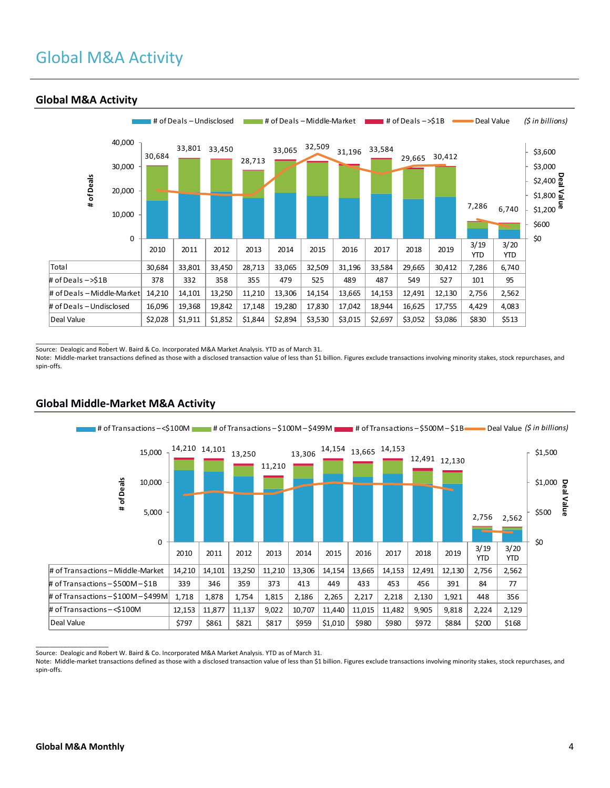# Global M&A Activity



### **Global M&A Activity**

 $\overline{\phantom{a}}$  , where  $\overline{\phantom{a}}$  , where  $\overline{\phantom{a}}$ 

Source: Dealogic and Robert W. Baird & Co. Incorporated M&A Market Analysis. YTD as of March 31.

Note: Middle-market transactions defined as those with a disclosed transaction value of less than \$1 billion. Figures exclude transactions involving minority stakes, stock repurchases, and spin-offs.



### **Global Middle-Market M&A Activity**

Source: Dealogic and Robert W. Baird & Co. Incorporated M&A Market Analysis. YTD as of March 31.

Note: Middle-market transactions defined as those with a disclosed transaction value of less than \$1 billion. Figures exclude transactions involving minority stakes, stock repurchases, and spin-offs.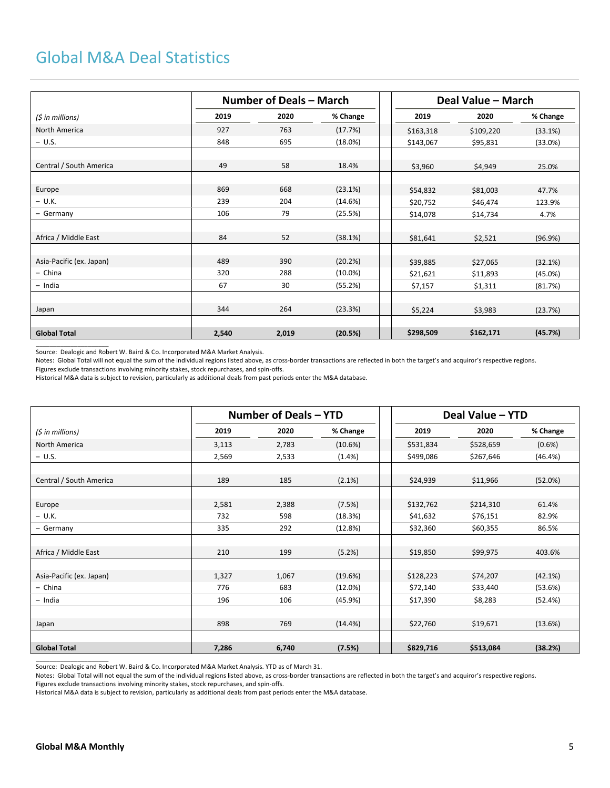## Global M&A Deal Statistics

|                          |       | Number of Deals - March |            | Deal Value – March |           |            |  |
|--------------------------|-------|-------------------------|------------|--------------------|-----------|------------|--|
| (\$ in millions)         | 2019  | 2020                    | % Change   | 2019               | 2020      | % Change   |  |
| North America            | 927   | 763                     | (17.7%)    | \$163,318          | \$109,220 | (33.1%)    |  |
| $- U.S.$                 | 848   | 695                     | (18.0%)    | \$143,067          | \$95,831  | (33.0%)    |  |
|                          |       |                         |            |                    |           |            |  |
| Central / South America  | 49    | 58                      | 18.4%      | \$3,960            | \$4,949   | 25.0%      |  |
|                          |       |                         |            |                    |           |            |  |
| Europe                   | 869   | 668                     | (23.1%)    | \$54,832           | \$81,003  | 47.7%      |  |
| $- U.K.$                 | 239   | 204                     | (14.6%)    | \$20,752           | \$46,474  | 123.9%     |  |
| - Germany                | 106   | 79                      | (25.5%)    | \$14,078           | \$14,734  | 4.7%       |  |
|                          |       |                         |            |                    |           |            |  |
| Africa / Middle East     | 84    | 52                      | (38.1%)    | \$81,641           | \$2,521   | (96.9%)    |  |
|                          |       |                         |            |                    |           |            |  |
| Asia-Pacific (ex. Japan) | 489   | 390                     | (20.2%)    | \$39,885           | \$27,065  | (32.1%)    |  |
| - China                  | 320   | 288                     | $(10.0\%)$ | \$21,621           | \$11,893  | $(45.0\%)$ |  |
| $-$ India                | 67    | 30                      | (55.2%)    | \$7,157            | \$1,311   | (81.7%)    |  |
|                          |       |                         |            |                    |           |            |  |
| Japan                    | 344   | 264                     | (23.3%)    | \$5,224            | \$3,983   | (23.7%)    |  |
|                          |       |                         |            |                    |           |            |  |
| <b>Global Total</b>      | 2,540 | 2,019                   | (20.5%)    | \$298,509          | \$162,171 | (45.7%)    |  |

Source: Dealogic and Robert W. Baird & Co. Incorporated M&A Market Analysis.

 $\overline{\phantom{a}}$  ,  $\overline{\phantom{a}}$  ,  $\overline{\phantom{a}}$  ,  $\overline{\phantom{a}}$  ,  $\overline{\phantom{a}}$  ,  $\overline{\phantom{a}}$  ,  $\overline{\phantom{a}}$  ,  $\overline{\phantom{a}}$  ,  $\overline{\phantom{a}}$  ,  $\overline{\phantom{a}}$  ,  $\overline{\phantom{a}}$  ,  $\overline{\phantom{a}}$  ,  $\overline{\phantom{a}}$  ,  $\overline{\phantom{a}}$  ,  $\overline{\phantom{a}}$  ,  $\overline{\phantom{a}}$ 

Notes: Global Total will not equal the sum of the individual regions listed above, as cross-border transactions are reflected in both the target's and acquiror's respective regions. Figures exclude transactions involving minority stakes, stock repurchases, and spin-offs.

Historical M&A data is subject to revision, particularly as additional deals from past periods enter the M&A database.

|                          |       | Number of Deals – YTD |           | Deal Value - YTD |           |           |  |
|--------------------------|-------|-----------------------|-----------|------------------|-----------|-----------|--|
| $(5$ in millions)        | 2019  | 2020                  | % Change  | 2019             | 2020      | % Change  |  |
| North America            | 3,113 | 2,783                 | (10.6%)   | \$531,834        | \$528,659 | $(0.6\%)$ |  |
| $- U.S.$                 | 2,569 | 2,533                 | (1.4% )   | \$499,086        | \$267,646 | (46.4%)   |  |
|                          |       |                       |           |                  |           |           |  |
| Central / South America  | 189   | 185                   | $(2.1\%)$ | \$24,939         | \$11,966  | (52.0%)   |  |
|                          |       |                       |           |                  |           |           |  |
| Europe                   | 2,581 | 2,388                 | (7.5%)    | \$132,762        | \$214,310 | 61.4%     |  |
| $- U.K.$                 | 732   | 598                   | (18.3%)   | \$41,632         | \$76,151  | 82.9%     |  |
| - Germany                | 335   | 292                   | (12.8%)   | \$32,360         | \$60,355  | 86.5%     |  |
|                          |       |                       |           |                  |           |           |  |
| Africa / Middle East     | 210   | 199                   | (5.2%)    | \$19,850         | \$99,975  | 403.6%    |  |
|                          |       |                       |           |                  |           |           |  |
| Asia-Pacific (ex. Japan) | 1,327 | 1,067                 | (19.6%)   | \$128,223        | \$74,207  | (42.1%)   |  |
| - China                  | 776   | 683                   | (12.0%)   | \$72,140         | \$33,440  | (53.6%)   |  |
| - India                  | 196   | 106                   | (45.9%)   | \$17,390         | \$8,283   | (52.4%)   |  |
|                          |       |                       |           |                  |           |           |  |
| Japan                    | 898   | 769                   | (14.4%)   | \$22,760         | \$19,671  | (13.6%)   |  |
|                          |       |                       |           |                  |           |           |  |
| <b>Global Total</b>      | 7,286 | 6,740                 | (7.5%)    | \$829,716        | \$513,084 | (38.2%)   |  |
|                          |       |                       |           |                  |           |           |  |

Source: Dealogic and Robert W. Baird & Co. Incorporated M&A Market Analysis. YTD as of March 31.

Notes: Global Total will not equal the sum of the individual regions listed above, as cross-border transactions are reflected in both the target's and acquiror's respective regions.

Figures exclude transactions involving minority stakes, stock repurchases, and spin-offs.

Historical M&A data is subject to revision, particularly as additional deals from past periods enter the M&A database.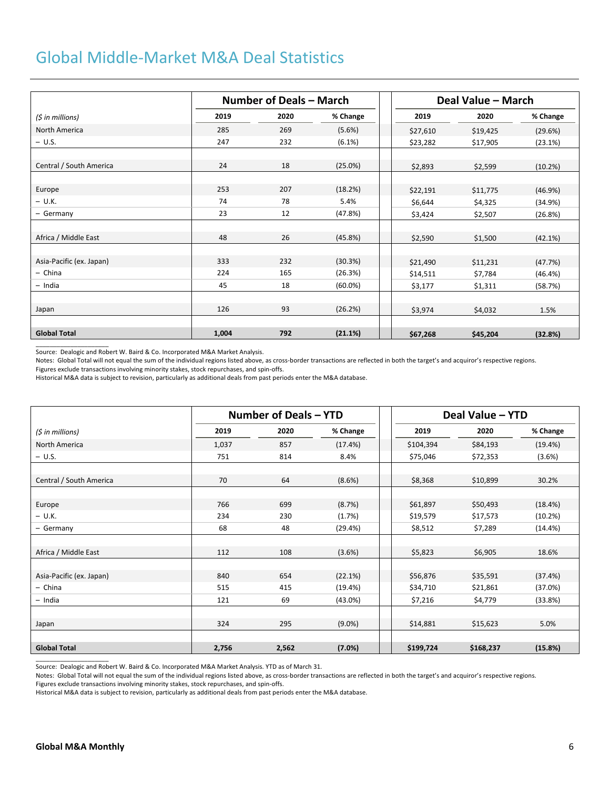## Global Middle-Market M&A Deal Statistics

|                          |       | Number of Deals - March |            |          | Deal Value - March |          |
|--------------------------|-------|-------------------------|------------|----------|--------------------|----------|
| (\$ in millions)         | 2019  | 2020                    | % Change   | 2019     | 2020               | % Change |
| North America            | 285   | 269                     | (5.6%)     | \$27,610 | \$19,425           | (29.6%)  |
| $- U.S.$                 | 247   | 232                     | (6.1%)     | \$23,282 | \$17,905           | (23.1%)  |
|                          |       |                         |            |          |                    |          |
| Central / South America  | 24    | 18                      | (25.0%)    | \$2,893  | \$2,599            | (10.2%)  |
|                          |       |                         |            |          |                    |          |
| Europe                   | 253   | 207                     | (18.2%)    | \$22,191 | \$11,775           | (46.9%)  |
| $- U.K.$                 | 74    | 78                      | 5.4%       | \$6,644  | \$4,325            | (34.9%)  |
| - Germany                | 23    | 12                      | (47.8%)    | \$3,424  | \$2,507            | (26.8%)  |
|                          |       |                         |            |          |                    |          |
| Africa / Middle East     | 48    | 26                      | (45.8%)    | \$2,590  | \$1,500            | (42.1%)  |
|                          |       |                         |            |          |                    |          |
| Asia-Pacific (ex. Japan) | 333   | 232                     | (30.3%)    | \$21,490 | \$11,231           | (47.7%)  |
| - China                  | 224   | 165                     | (26.3%)    | \$14,511 | \$7,784            | (46.4%)  |
| $-$ India                | 45    | 18                      | $(60.0\%)$ | \$3,177  | \$1,311            | (58.7%)  |
|                          |       |                         |            |          |                    |          |
| Japan                    | 126   | 93                      | (26.2%)    | \$3,974  | \$4,032            | 1.5%     |
|                          |       |                         |            |          |                    |          |
| <b>Global Total</b>      | 1.004 | 792                     | (21.1%)    | \$67,268 | \$45,204           | (32.8%)  |
|                          |       |                         |            |          |                    |          |

Source: Dealogic and Robert W. Baird & Co. Incorporated M&A Market Analysis.

Notes: Global Total will not equal the sum of the individual regions listed above, as cross-border transactions are reflected in both the target's and acquiror's respective regions. Figures exclude transactions involving minority stakes, stock repurchases, and spin-offs.

Historical M&A data is subject to revision, particularly as additional deals from past periods enter the M&A database.

|                          |       | Number of Deals - YTD |            | Deal Value - YTD |           |           |  |
|--------------------------|-------|-----------------------|------------|------------------|-----------|-----------|--|
| (5 in millions)          | 2019  | 2020                  | % Change   | 2019             | 2020      | % Change  |  |
| North America            | 1,037 | 857                   | (17.4%)    | \$104,394        | \$84,193  | (19.4%)   |  |
| $- U.S.$                 | 751   | 814                   | 8.4%       | \$75,046         | \$72,353  | $(3.6\%)$ |  |
|                          |       |                       |            |                  |           |           |  |
| Central / South America  | 70    | 64                    | (8.6%)     | \$8,368          | \$10,899  | 30.2%     |  |
|                          |       |                       |            |                  |           |           |  |
| Europe                   | 766   | 699                   | (8.7%)     | \$61,897         | \$50,493  | (18.4%)   |  |
| $- U.K.$                 | 234   | 230                   | (1.7%)     | \$19,579         | \$17,573  | (10.2%)   |  |
| - Germany                | 68    | 48                    | (29.4%)    | \$8,512          | \$7,289   | (14.4%)   |  |
|                          |       |                       |            |                  |           |           |  |
| Africa / Middle East     | 112   | 108                   | (3.6%)     | \$5,823          | \$6,905   | 18.6%     |  |
|                          |       |                       |            |                  |           |           |  |
| Asia-Pacific (ex. Japan) | 840   | 654                   | (22.1%)    | \$56,876         | \$35,591  | (37.4%)   |  |
| - China                  | 515   | 415                   | (19.4%)    | \$34,710         | \$21,861  | (37.0%)   |  |
| - India                  | 121   | 69                    | $(43.0\%)$ | \$7,216          | \$4,779   | (33.8%)   |  |
|                          |       |                       |            |                  |           |           |  |
| Japan                    | 324   | 295                   | $(9.0\%)$  | \$14,881         | \$15,623  | 5.0%      |  |
|                          |       |                       |            |                  |           |           |  |
| <b>Global Total</b>      | 2,756 | 2,562                 | (7.0%)     | \$199,724        | \$168,237 | (15.8%)   |  |

Source: Dealogic and Robert W. Baird & Co. Incorporated M&A Market Analysis. YTD as of March 31.

Notes: Global Total will not equal the sum of the individual regions listed above, as cross-border transactions are reflected in both the target's and acquiror's respective regions.

Figures exclude transactions involving minority stakes, stock repurchases, and spin-offs.

Historical M&A data is subject to revision, particularly as additional deals from past periods enter the M&A database.

 $\overline{\phantom{a}}$  , where  $\overline{\phantom{a}}$  , where  $\overline{\phantom{a}}$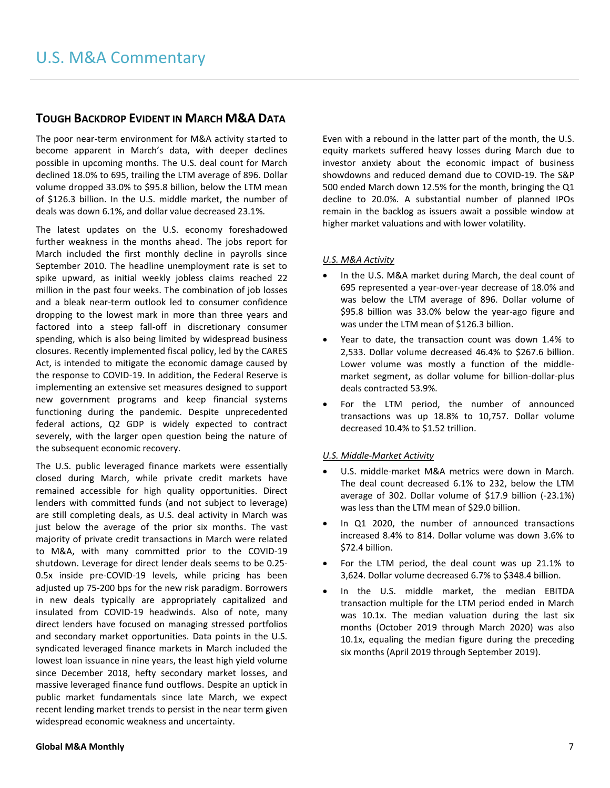## **TOUGH BACKDROP EVIDENT IN MARCH M&A DATA**

The poor near-term environment for M&A activity started to become apparent in March's data, with deeper declines possible in upcoming months. The U.S. deal count for March declined 18.0% to 695, trailing the LTM average of 896. Dollar volume dropped 33.0% to \$95.8 billion, below the LTM mean of \$126.3 billion. In the U.S. middle market, the number of deals was down 6.1%, and dollar value decreased 23.1%.

The latest updates on the U.S. economy foreshadowed further weakness in the months ahead. The jobs report for March included the first monthly decline in payrolls since September 2010. The headline unemployment rate is set to spike upward, as initial weekly jobless claims reached 22 million in the past four weeks. The combination of job losses and a bleak near-term outlook led to consumer confidence dropping to the lowest mark in more than three years and factored into a steep fall-off in discretionary consumer spending, which is also being limited by widespread business closures. Recently implemented fiscal policy, led by the CARES Act, is intended to mitigate the economic damage caused by the response to COVID-19. In addition, the Federal Reserve is implementing an extensive set measures designed to support new government programs and keep financial systems functioning during the pandemic. Despite unprecedented federal actions, Q2 GDP is widely expected to contract severely, with the larger open question being the nature of the subsequent economic recovery.

The U.S. public leveraged finance markets were essentially closed during March, while private credit markets have remained accessible for high quality opportunities. Direct lenders with committed funds (and not subject to leverage) are still completing deals, as U.S. deal activity in March was just below the average of the prior six months. The vast majority of private credit transactions in March were related to M&A, with many committed prior to the COVID-19 shutdown. Leverage for direct lender deals seems to be 0.25- 0.5x inside pre-COVID-19 levels, while pricing has been adjusted up 75-200 bps for the new risk paradigm. Borrowers in new deals typically are appropriately capitalized and insulated from COVID-19 headwinds. Also of note, many direct lenders have focused on managing stressed portfolios and secondary market opportunities. Data points in the U.S. syndicated leveraged finance markets in March included the lowest loan issuance in nine years, the least high yield volume since December 2018, hefty secondary market losses, and massive leveraged finance fund outflows. Despite an uptick in public market fundamentals since late March, we expect recent lending market trends to persist in the near term given widespread economic weakness and uncertainty.

Even with a rebound in the latter part of the month, the U.S. equity markets suffered heavy losses during March due to investor anxiety about the economic impact of business showdowns and reduced demand due to COVID-19. The S&P 500 ended March down 12.5% for the month, bringing the Q1 decline to 20.0%. A substantial number of planned IPOs remain in the backlog as issuers await a possible window at higher market valuations and with lower volatility.

#### *U.S. M&A Activity*

- In the U.S. M&A market during March, the deal count of 695 represented a year-over-year decrease of 18.0% and was below the LTM average of 896. Dollar volume of \$95.8 billion was 33.0% below the year-ago figure and was under the LTM mean of \$126.3 billion.
- Year to date, the transaction count was down 1.4% to 2,533. Dollar volume decreased 46.4% to \$267.6 billion. Lower volume was mostly a function of the middlemarket segment, as dollar volume for billion-dollar-plus deals contracted 53.9%.
- For the LTM period, the number of announced transactions was up 18.8% to 10,757. Dollar volume decreased 10.4% to \$1.52 trillion.

#### *U.S. Middle-Market Activity*

- U.S. middle-market M&A metrics were down in March. The deal count decreased 6.1% to 232, below the LTM average of 302. Dollar volume of \$17.9 billion (-23.1%) was less than the LTM mean of \$29.0 billion.
- In Q1 2020, the number of announced transactions increased 8.4% to 814. Dollar volume was down 3.6% to \$72.4 billion.
- For the LTM period, the deal count was up 21.1% to 3,624. Dollar volume decreased 6.7% to \$348.4 billion.
- In the U.S. middle market, the median EBITDA transaction multiple for the LTM period ended in March was 10.1x. The median valuation during the last six months (October 2019 through March 2020) was also 10.1x, equaling the median figure during the preceding six months (April 2019 through September 2019).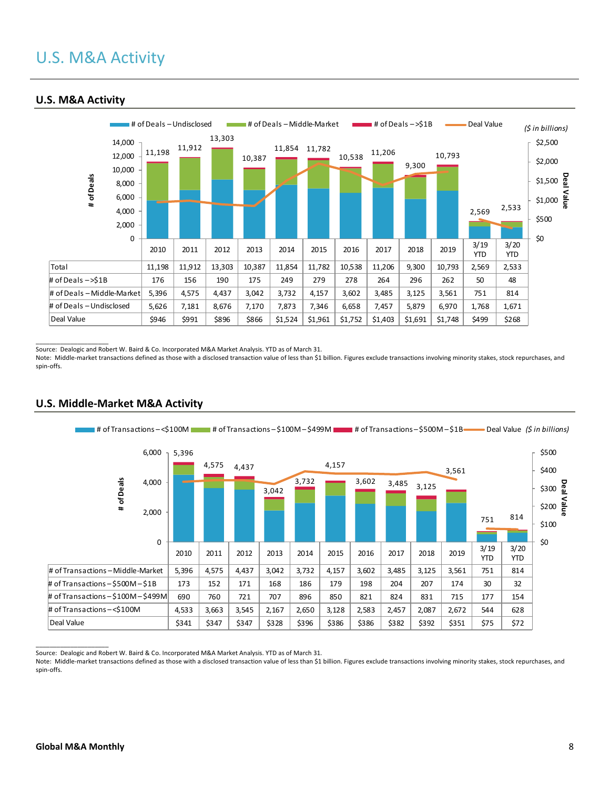

### **U.S. M&A Activity**

 $\overline{\phantom{a}}$  , where  $\overline{\phantom{a}}$  , where  $\overline{\phantom{a}}$ Source: Dealogic and Robert W. Baird & Co. Incorporated M&A Market Analysis. YTD as of March 31.

Note: Middle-market transactions defined as those with a disclosed transaction value of less than \$1 billion. Figures exclude transactions involving minority stakes, stock repurchases, and spin-offs.



### **U.S. Middle-Market M&A Activity**

Source: Dealogic and Robert W. Baird & Co. Incorporated M&A Market Analysis. YTD as of March 31.

Note: Middle-market transactions defined as those with a disclosed transaction value of less than \$1 billion. Figures exclude transactions involving minority stakes, stock repurchases, and spin-offs.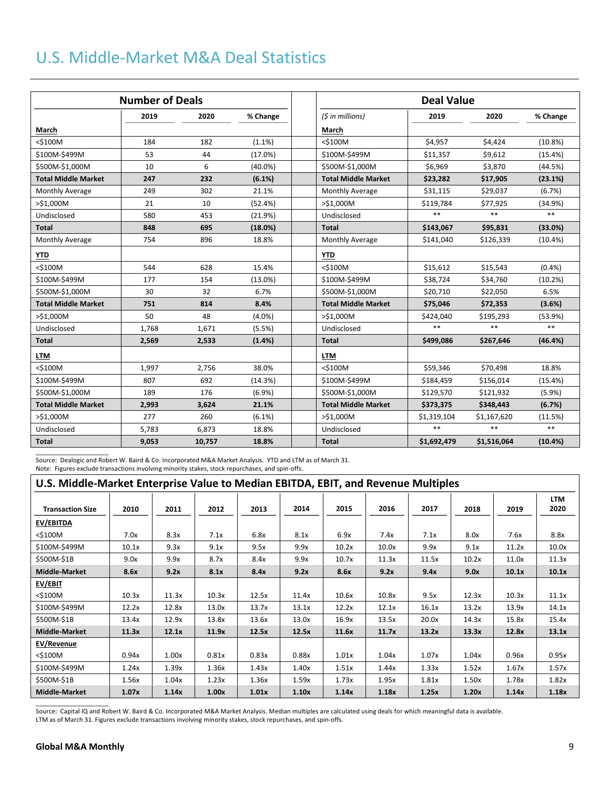# U.S. Middle-Market M&A Deal Statistics

|                            | <b>Number of Deals</b> |        |            | <b>Deal Value</b>          |             |             |            |
|----------------------------|------------------------|--------|------------|----------------------------|-------------|-------------|------------|
|                            | 2019                   | 2020   | % Change   | (5 in millions)            | 2019        | 2020        | % Change   |
| March                      |                        |        |            | March                      |             |             |            |
| <\$100M                    | 184                    | 182    | $(1.1\%)$  | $<$ \$100M                 | \$4,957     | \$4,424     | (10.8%)    |
| \$100M-\$499M              | 53                     | 44     | (17.0%)    | \$100M-\$499M              | \$11,357    | \$9,612     | (15.4%)    |
| \$500M-\$1,000M            | 10                     | 6      | $(40.0\%)$ | \$500M-\$1,000M            | \$6,969     | \$3,870     | (44.5%)    |
| <b>Total Middle Market</b> | 247                    | 232    | (6.1%)     | <b>Total Middle Market</b> | \$23,282    | \$17,905    | (23.1%)    |
| <b>Monthly Average</b>     | 249                    | 302    | 21.1%      | Monthly Average            | \$31,115    | \$29,037    | (6.7%)     |
| >\$1,000M                  | 21                     | 10     | (52.4%)    | $>$ \$1,000M               | \$119,784   | \$77,925    | (34.9%)    |
| Undisclosed                | 580                    | 453    | (21.9%)    | Undisclosed                | $**$        | $**$        | $***$      |
| <b>Total</b>               | 848                    | 695    | (18.0%)    | <b>Total</b>               | \$143,067   | \$95,831    | (33.0%)    |
| Monthly Average            | 754                    | 896    | 18.8%      | Monthly Average            | \$141,040   | \$126,339   | $(10.4\%)$ |
| <b>YTD</b>                 |                        |        |            | <b>YTD</b>                 |             |             |            |
| <\$100M                    | 544                    | 628    | 15.4%      | $<$ \$100M                 | \$15,612    | \$15,543    | (0.4% )    |
| \$100M-\$499M              | 177                    | 154    | $(13.0\%)$ | \$100M-\$499M              | \$38,724    | \$34,760    | (10.2%)    |
| \$500M-\$1,000M            | 30                     | 32     | 6.7%       | \$500M-\$1,000M            | \$20,710    | \$22,050    | 6.5%       |
| <b>Total Middle Market</b> | 751                    | 814    | 8.4%       | <b>Total Middle Market</b> | \$75,046    | \$72,353    | (3.6%)     |
| >\$1,000M                  | 50                     | 48     | $(4.0\%)$  | $>$ \$1.000M               | \$424,040   | \$195,293   | (53.9%)    |
| Undisclosed                | 1,768                  | 1,671  | (5.5%)     | Undisclosed                | $**$        | $**$        | $**$       |
| <b>Total</b>               | 2,569                  | 2,533  | (1.4%)     | <b>Total</b>               | \$499,086   | \$267,646   | (46.4%)    |
| <b>LTM</b>                 |                        |        |            | <b>LTM</b>                 |             |             |            |
| $<$ \$100M                 | 1,997                  | 2,756  | 38.0%      | $<$ \$100M                 | \$59,346    | \$70,498    | 18.8%      |
| \$100M-\$499M              | 807                    | 692    | (14.3%)    | \$100M-\$499M              | \$184,459   | \$156,014   | (15.4%)    |
| \$500M-\$1,000M            | 189                    | 176    | (6.9%)     | \$500M-\$1.000M            | \$129,570   | \$121,932   | (5.9%)     |
| <b>Total Middle Market</b> | 2,993                  | 3,624  | 21.1%      | <b>Total Middle Market</b> | \$373,375   | \$348,443   | (6.7%)     |
| >\$1,000M                  | 277                    | 260    | (6.1%)     | $>$ \$1,000M               | \$1,319,104 | \$1,167,620 | (11.5%)    |
| Undisclosed                | 5,783                  | 6,873  | 18.8%      | Undisclosed                | $\ast\ast$  | $\ast\ast$  | $**$       |
| <b>Total</b>               | 9,053                  | 10,757 | 18.8%      | <b>Total</b>               | \$1,692,479 | \$1,516,064 | (10.4%)    |

Source: Dealogic and Robert W. Baird & Co. Incorporated M&A Market Analysis. YTD and LTM as of March 31. Note: Figures exclude transactions involving minority stakes, stock repurchases, and spin-offs.

| U.S. Middle-Market Enterprise Value to Median EBITDA, EBIT, and Revenue Multiples |       |       |       |       |       |       |       |       |       |       |                    |
|-----------------------------------------------------------------------------------|-------|-------|-------|-------|-------|-------|-------|-------|-------|-------|--------------------|
| <b>Transaction Size</b>                                                           | 2010  | 2011  | 2012  | 2013  | 2014  | 2015  | 2016  | 2017  | 2018  | 2019  | <b>LTM</b><br>2020 |
| EV/EBITDA                                                                         |       |       |       |       |       |       |       |       |       |       |                    |
| $<$ \$100M                                                                        | 7.0x  | 8.3x  | 7.1x  | 6.8x  | 8.1x  | 6.9x  | 7.4x  | 7.1x  | 8.0x  | 7.6x  | 8.8x               |
| \$100M-\$499M                                                                     | 10.1x | 9.3x  | 9.1x  | 9.5x  | 9.9x  | 10.2x | 10.0x | 9.9x  | 9.1x  | 11.2x | 10.0x              |
| \$500M-\$1B                                                                       | 9.0x  | 9.9x  | 8.7x  | 8.4x  | 9.9x  | 10.7x | 11.3x | 11.5x | 10.2x | 11.0x | 11.3x              |
| <b>Middle-Market</b>                                                              | 8.6x  | 9.2x  | 8.1x  | 8.4x  | 9.2x  | 8.6x  | 9.2x  | 9.4x  | 9.0x  | 10.1x | 10.1x              |
| EV/EBIT                                                                           |       |       |       |       |       |       |       |       |       |       |                    |
| $<$ \$100M                                                                        | 10.3x | 11.3x | 10.3x | 12.5x | 11.4x | 10.6x | 10.8x | 9.5x  | 12.3x | 10.3x | 11.1x              |
| \$100M-\$499M                                                                     | 12.2x | 12.8x | 13.0x | 13.7x | 13.1x | 12.2x | 12.1x | 16.1x | 13.2x | 13.9x | 14.1x              |
| \$500M-\$1B                                                                       | 13.4x | 12.9x | 13.8x | 13.6x | 13.0x | 16.9x | 13.5x | 20.0x | 14.3x | 15.8x | 15.4x              |
| <b>Middle-Market</b>                                                              | 11.3x | 12.1x | 11.9x | 12.5x | 12.5x | 11.6x | 11.7x | 13.2x | 13.3x | 12.8x | 13.1x              |
| EV/Revenue                                                                        |       |       |       |       |       |       |       |       |       |       |                    |
| $<$ \$100M                                                                        | 0.94x | 1.00x | 0.81x | 0.83x | 0.88x | 1.01x | 1.04x | 1.07x | 1.04x | 0.96x | 0.95x              |
| \$100M-\$499M                                                                     | 1.24x | 1.39x | 1.36x | 1.43x | 1.40x | 1.51x | 1.44x | 1.33x | 1.52x | 1.67x | 1.57x              |
| \$500M-\$1B                                                                       | 1.56x | 1.04x | 1.23x | 1.36x | 1.59x | 1.73x | 1.95x | 1.81x | 1.50x | 1.78x | 1.82x              |
| <b>Middle-Market</b>                                                              | 1.07x | 1.14x | 1.00x | 1.01x | 1.10x | 1.14x | 1.18x | 1.25x | 1.20x | 1.14x | 1.18x              |

Source: Capital IQ and Robert W. Baird & Co. Incorporated M&A Market Analysis. Median multiples are calculated using deals for which meaningful data is available. LTM as of March 31. Figures exclude transactions involving minority stakes, stock repurchases, and spin-offs.

 $\overline{\phantom{a}}$  , where  $\overline{\phantom{a}}$  , where  $\overline{\phantom{a}}$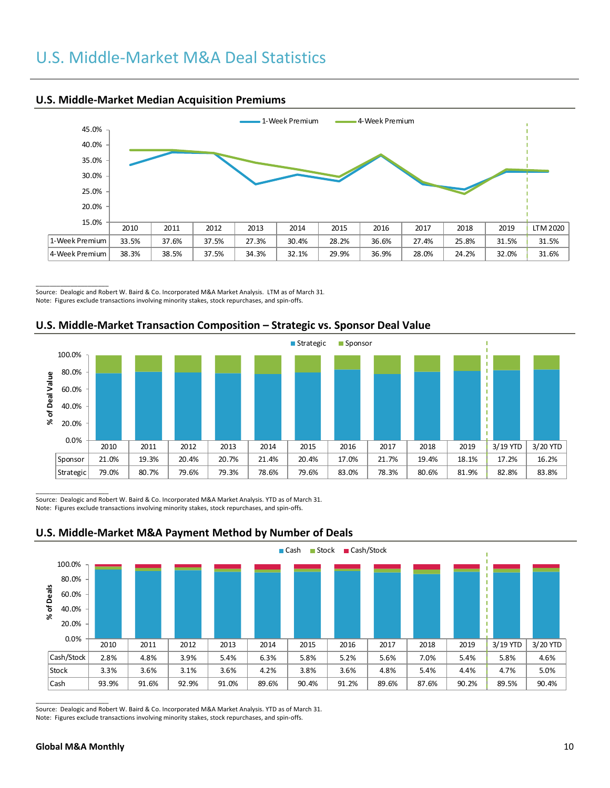

### **U.S. Middle-Market Median Acquisition Premiums**

 $\overline{\phantom{a}}$  , where  $\overline{\phantom{a}}$  , where  $\overline{\phantom{a}}$ Source: Dealogic and Robert W. Baird & Co. Incorporated M&A Market Analysis. LTM as of March 31. Note: Figures exclude transactions involving minority stakes, stock repurchases, and spin-offs.





 $\overline{\phantom{a}}$  ,  $\overline{\phantom{a}}$  ,  $\overline{\phantom{a}}$  ,  $\overline{\phantom{a}}$  ,  $\overline{\phantom{a}}$  ,  $\overline{\phantom{a}}$  ,  $\overline{\phantom{a}}$  ,  $\overline{\phantom{a}}$  ,  $\overline{\phantom{a}}$  ,  $\overline{\phantom{a}}$  ,  $\overline{\phantom{a}}$  ,  $\overline{\phantom{a}}$  ,  $\overline{\phantom{a}}$  ,  $\overline{\phantom{a}}$  ,  $\overline{\phantom{a}}$  ,  $\overline{\phantom{a}}$ Source: Dealogic and Robert W. Baird & Co. Incorporated M&A Market Analysis. YTD as of March 31. Note: Figures exclude transactions involving minority stakes, stock repurchases, and spin-offs.



## **U.S. Middle-Market M&A Payment Method by Number of Deals**

 $\overline{\phantom{a}}$  , where  $\overline{\phantom{a}}$  , where  $\overline{\phantom{a}}$ Source: Dealogic and Robert W. Baird & Co. Incorporated M&A Market Analysis. YTD as of March 31. Note: Figures exclude transactions involving minority stakes, stock repurchases, and spin-offs.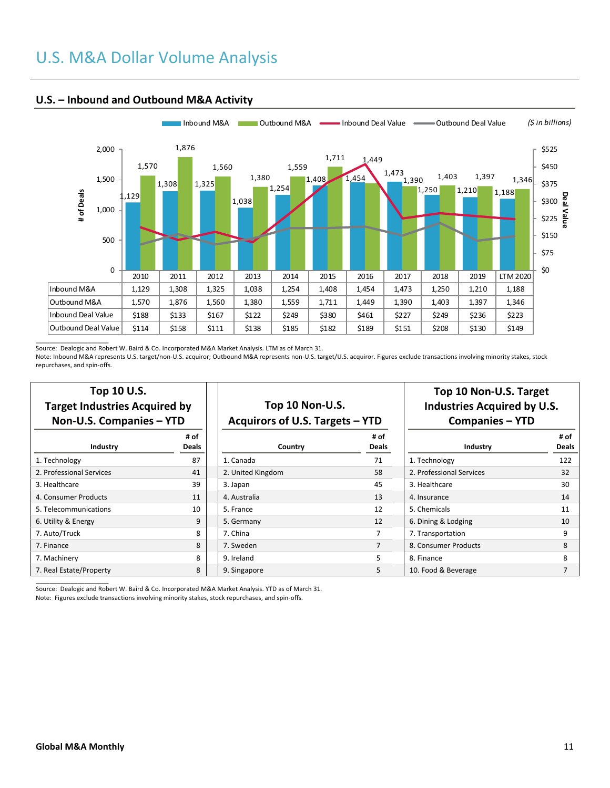## U.S. M&A Dollar Volume Analysis



#### **U.S. – Inbound and Outbound M&A Activity**

Source: Dealogic and Robert W. Baird & Co. Incorporated M&A Market Analysis. LTM as of March 31.

Note: Inbound M&A represents U.S. target/non-U.S. acquiror; Outbound M&A represents non-U.S. target/U.S. acquiror. Figures exclude transactions involving minority stakes, stock repurchases, and spin-offs.

| 100 10 U.S.<br><b>Target Industries Acquired by</b><br>Non-U.S. Companies - YTD |               | Top 10 Non-U.S.<br>Acquirors of U.S. Targets - YTD |               | Top 10 Non-U.S. Target<br><b>Industries Acquired by U.S.</b><br><b>Companies - YTD</b> |              |  |
|---------------------------------------------------------------------------------|---------------|----------------------------------------------------|---------------|----------------------------------------------------------------------------------------|--------------|--|
| Industry                                                                        | # of<br>Deals | Country                                            | # of<br>Deals | Industry                                                                               | # of<br>Deal |  |
| 1. Technology                                                                   | 87            | 1. Canada                                          | 71            | 1. Technology                                                                          | 122          |  |
| 2. Professional Services                                                        | 41            | 2. United Kingdom                                  | 58            | 2. Professional Services                                                               | 32           |  |
| 3. Healthcare                                                                   | 39            | 3. Japan                                           | 45            | 3. Healthcare                                                                          | 30           |  |
| 4. Consumer Products                                                            | 11            | 4. Australia                                       | 13            | 4. Insurance                                                                           | 14           |  |
| 5. Telecommunications                                                           | 10            | 5. France                                          | 12            | 5. Chemicals                                                                           | 11           |  |
| 6. Utility & Energy                                                             | 9             | 5. Germany                                         | 12            | 6. Dining & Lodging                                                                    | 10           |  |
| 7. Auto/Truck                                                                   | 8             | 7. China                                           |               | 7. Transportation                                                                      | 9            |  |
| 7. Finance                                                                      | 8             | 7. Sweden                                          | 7             | 8. Consumer Products                                                                   | 8            |  |
|                                                                                 |               |                                                    |               |                                                                                        |              |  |

**Top 10 U.S.**

| ›γ                   | Top 10 Non-U.S.<br>Acquirors of U.S. Targets - YTD |                      |  |  |  |  |  |  |  |
|----------------------|----------------------------------------------------|----------------------|--|--|--|--|--|--|--|
| # of<br><b>Deals</b> | Country                                            | # of<br><b>Deals</b> |  |  |  |  |  |  |  |
| 87                   | 1. Canada                                          | 71                   |  |  |  |  |  |  |  |
| 41                   | 2. United Kingdom                                  | 58                   |  |  |  |  |  |  |  |
| 39                   | 3. Japan                                           | 45                   |  |  |  |  |  |  |  |
| 11                   | 4. Australia                                       | 13                   |  |  |  |  |  |  |  |
| 10                   | 5. France                                          | 12                   |  |  |  |  |  |  |  |
| 9                    | 5. Germany                                         | 12                   |  |  |  |  |  |  |  |
| 8                    | 7. China                                           | 7                    |  |  |  |  |  |  |  |

## **Top 10 Non-U.S. Target Industries Acquired by U.S. Companies – YTD**

| Industry                 | # of<br>Deals | Country           | # of<br>Deals | Industry                 | # of<br><b>Deals</b> |
|--------------------------|---------------|-------------------|---------------|--------------------------|----------------------|
| 1. Technology            | 87            | 1. Canada         | 71            | 1. Technology            | 122                  |
| 2. Professional Services | 41            | 2. United Kingdom | 58            | 2. Professional Services | 32                   |
| 3. Healthcare            | 39            | 3. Japan          | 45            | 3. Healthcare            | 30                   |
| 4. Consumer Products     | 11            | 4. Australia      | 13            | 4. Insurance             | 14                   |
| 5. Telecommunications    | 10            | 5. France         | 12            | 5. Chemicals             | 11                   |
| 6. Utility & Energy      | 9             | 5. Germany        | 12            | 6. Dining & Lodging      | 10                   |
| 7. Auto/Truck            | 8             | 7. China          |               | 7. Transportation        | 9                    |
| 7. Finance               | 8             | 7. Sweden         |               | 8. Consumer Products     | 8                    |
| 7. Machinery             | 8             | 9. Ireland        |               | 8. Finance               | 8                    |
| 7. Real Estate/Property  | 8             | 9. Singapore      |               | 10. Food & Beverage      |                      |

Source: Dealogic and Robert W. Baird & Co. Incorporated M&A Market Analysis. YTD as of March 31. Note: Figures exclude transactions involving minority stakes, stock repurchases, and spin-offs.

\_\_\_\_\_\_\_\_\_\_\_\_\_\_\_\_\_\_\_\_\_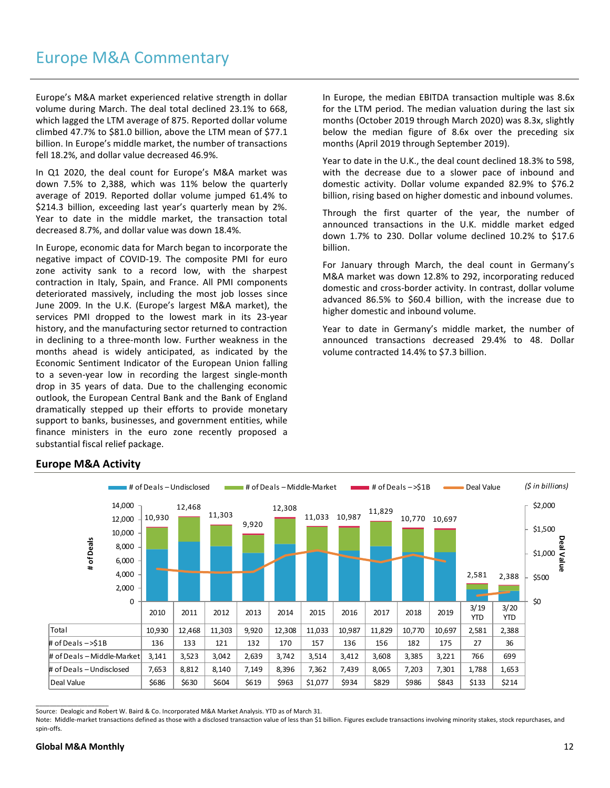Europe's M&A market experienced relative strength in dollar volume during March. The deal total declined 23.1% to 668, which lagged the LTM average of 875. Reported dollar volume climbed 47.7% to \$81.0 billion, above the LTM mean of \$77.1 billion. In Europe's middle market, the number of transactions fell 18.2%, and dollar value decreased 46.9%.

In Q1 2020, the deal count for Europe's M&A market was down 7.5% to 2,388, which was 11% below the quarterly average of 2019. Reported dollar volume jumped 61.4% to \$214.3 billion, exceeding last year's quarterly mean by 2%. Year to date in the middle market, the transaction total decreased 8.7%, and dollar value was down 18.4%.

In Europe, economic data for March began to incorporate the negative impact of COVID-19. The composite PMI for euro zone activity sank to a record low, with the sharpest contraction in Italy, Spain, and France. All PMI components deteriorated massively, including the most job losses since June 2009. In the U.K. (Europe's largest M&A market), the services PMI dropped to the lowest mark in its 23-year history, and the manufacturing sector returned to contraction in declining to a three-month low. Further weakness in the months ahead is widely anticipated, as indicated by the Economic Sentiment Indicator of the European Union falling to a seven-year low in recording the largest single-month drop in 35 years of data. Due to the challenging economic outlook, the European Central Bank and the Bank of England dramatically stepped up their efforts to provide monetary support to banks, businesses, and government entities, while finance ministers in the euro zone recently proposed a substantial fiscal relief package.

In Europe, the median EBITDA transaction multiple was 8.6x for the LTM period. The median valuation during the last six months (October 2019 through March 2020) was 8.3x, slightly below the median figure of 8.6x over the preceding six months (April 2019 through September 2019).

Year to date in the U.K., the deal count declined 18.3% to 598, with the decrease due to a slower pace of inbound and domestic activity. Dollar volume expanded 82.9% to \$76.2 billion, rising based on higher domestic and inbound volumes.

Through the first quarter of the year, the number of announced transactions in the U.K. middle market edged down 1.7% to 230. Dollar volume declined 10.2% to \$17.6 billion.

For January through March, the deal count in Germany's M&A market was down 12.8% to 292, incorporating reduced domestic and cross-border activity. In contrast, dollar volume advanced 86.5% to \$60.4 billion, with the increase due to higher domestic and inbound volume.

Year to date in Germany's middle market, the number of announced transactions decreased 29.4% to 48. Dollar volume contracted 14.4% to \$7.3 billion.



### **Europe M&A Activity**

Source: Dealogic and Robert W. Baird & Co. Incorporated M&A Market Analysis. YTD as of March 31.

Note: Middle-market transactions defined as those with a disclosed transaction value of less than \$1 billion. Figures exclude transactions involving minority stakes, stock repurchases, and spin-offs.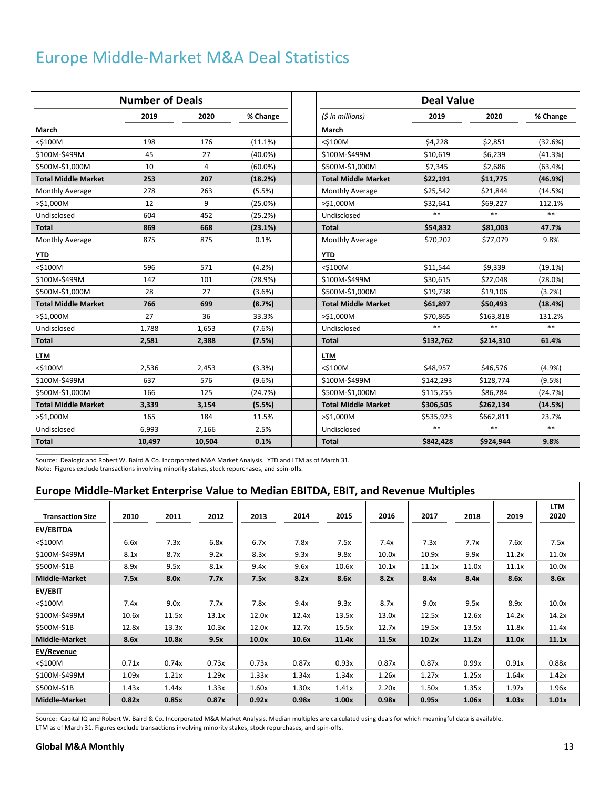## Europe Middle-Market M&A Deal Statistics

|                            | <b>Number of Deals</b> |        |            | Deal Value                 |            |            |          |
|----------------------------|------------------------|--------|------------|----------------------------|------------|------------|----------|
|                            | 2019                   | 2020   | % Change   | (5 in millions)            | 2019       | 2020       | % Change |
| March                      |                        |        |            | March                      |            |            |          |
| $<$ \$100M                 | 198                    | 176    | (11.1%)    | $<$ \$100M                 | \$4,228    | \$2,851    | (32.6%)  |
| \$100M-\$499M              | 45                     | 27     | $(40.0\%)$ | \$100M-\$499M              | \$10,619   | \$6,239    | (41.3%)  |
| \$500M-\$1,000M            | 10                     | 4      | $(60.0\%)$ | \$500M-\$1,000M            | \$7,345    | \$2,686    | (63.4%)  |
| <b>Total Middle Market</b> | 253                    | 207    | (18.2%)    | <b>Total Middle Market</b> | \$22,191   | \$11,775   | (46.9%)  |
| <b>Monthly Average</b>     | 278                    | 263    | (5.5%)     | Monthly Average            | \$25,542   | \$21,844   | (14.5%)  |
| >\$1,000M                  | 12                     | 9      | $(25.0\%)$ | >\$1,000M                  | \$32,641   | \$69,227   | 112.1%   |
| Undisclosed                | 604                    | 452    | (25.2%)    | Undisclosed                | $**$       | $**$       | $**$     |
| <b>Total</b>               | 869                    | 668    | (23.1%)    | <b>Total</b>               | \$54,832   | \$81,003   | 47.7%    |
| Monthly Average            | 875                    | 875    | 0.1%       | Monthly Average            | \$70,202   | \$77,079   | 9.8%     |
| <b>YTD</b>                 |                        |        |            | <b>YTD</b>                 |            |            |          |
| $<$ \$100M                 | 596                    | 571    | (4.2%)     | $<$ \$100M                 | \$11,544   | \$9,339    | (19.1%)  |
| \$100M-\$499M              | 142                    | 101    | (28.9%)    | \$100M-\$499M              | \$30,615   | \$22,048   | (28.0%)  |
| \$500M-\$1,000M            | 28                     | 27     | (3.6%)     | \$500M-\$1,000M            | \$19,738   | \$19,106   | (3.2%)   |
| <b>Total Middle Market</b> | 766                    | 699    | (8.7%)     | <b>Total Middle Market</b> | \$61,897   | \$50,493   | (18.4%)  |
| >\$1,000M                  | 27                     | 36     | 33.3%      | $>$ \$1,000M               | \$70,865   | \$163,818  | 131.2%   |
| Undisclosed                | 1,788                  | 1,653  | (7.6%)     | Undisclosed                | $**$       | $**$       | $**$     |
| <b>Total</b>               | 2,581                  | 2,388  | (7.5%)     | <b>Total</b>               | \$132,762  | \$214,310  | 61.4%    |
| <b>LTM</b>                 |                        |        |            | <b>LTM</b>                 |            |            |          |
| <\$100M                    | 2,536                  | 2,453  | (3.3%)     | $<$ \$100M                 | \$48,957   | \$46,576   | (4.9%    |
| \$100M-\$499M              | 637                    | 576    | $(9.6\%)$  | \$100M-\$499M              | \$142,293  | \$128,774  | (9.5%)   |
| \$500M-\$1,000M            | 166                    | 125    | (24.7%)    | \$500M-\$1,000M            | \$115,255  | \$86,784   | (24.7%)  |
| <b>Total Middle Market</b> | 3,339                  | 3,154  | (5.5%)     | <b>Total Middle Market</b> | \$306,505  | \$262,134  | (14.5%)  |
| >\$1,000M                  | 165                    | 184    | 11.5%      | $>$ \$1.000M               | \$535,923  | \$662,811  | 23.7%    |
| Undisclosed                | 6,993                  | 7,166  | 2.5%       | Undisclosed                | $\ast\ast$ | $\ast\ast$ | $**$     |
| <b>Total</b>               | 10,497                 | 10,504 | 0.1%       | <b>Total</b>               | \$842,428  | \$924,944  | 9.8%     |

Source: Dealogic and Robert W. Baird & Co. Incorporated M&A Market Analysis. YTD and LTM as of March 31. Note: Figures exclude transactions involving minority stakes, stock repurchases, and spin-offs.

| Europe Middle-Market Enterprise Value to Median EBITDA, EBIT, and Revenue Multiples |       |       |       |       |       |       |       |       |       |       |                    |
|-------------------------------------------------------------------------------------|-------|-------|-------|-------|-------|-------|-------|-------|-------|-------|--------------------|
| <b>Transaction Size</b>                                                             | 2010  | 2011  | 2012  | 2013  | 2014  | 2015  | 2016  | 2017  | 2018  | 2019  | <b>LTM</b><br>2020 |
| EV/EBITDA                                                                           |       |       |       |       |       |       |       |       |       |       |                    |
| $<$ \$100M                                                                          | 6.6x  | 7.3x  | 6.8x  | 6.7x  | 7.8x  | 7.5x  | 7.4x  | 7.3x  | 7.7x  | 7.6x  | 7.5x               |
| \$100M-\$499M                                                                       | 8.1x  | 8.7x  | 9.2x  | 8.3x  | 9.3x  | 9.8x  | 10.0x | 10.9x | 9.9x  | 11.2x | 11.0x              |
| \$500M-\$1B                                                                         | 8.9x  | 9.5x  | 8.1x  | 9.4x  | 9.6x  | 10.6x | 10.1x | 11.1x | 11.0x | 11.1x | 10.0x              |
| <b>Middle-Market</b>                                                                | 7.5x  | 8.0x  | 7.7x  | 7.5x  | 8.2x  | 8.6x  | 8.2x  | 8.4x  | 8.4x  | 8.6x  | 8.6x               |
| EV/EBIT                                                                             |       |       |       |       |       |       |       |       |       |       |                    |
| $<$ \$100M                                                                          | 7.4x  | 9.0x  | 7.7x  | 7.8x  | 9.4x  | 9.3x  | 8.7x  | 9.0x  | 9.5x  | 8.9x  | 10.0x              |
| \$100M-\$499M                                                                       | 10.6x | 11.5x | 13.1x | 12.0x | 12.4x | 13.5x | 13.0x | 12.5x | 12.6x | 14.2x | 14.2x              |
| \$500M-\$1B                                                                         | 12.8x | 13.3x | 10.3x | 12.0x | 12.7x | 15.5x | 12.7x | 19.5x | 13.5x | 11.8x | 11.4x              |
| <b>Middle-Market</b>                                                                | 8.6x  | 10.8x | 9.5x  | 10.0x | 10.6x | 11.4x | 11.5x | 10.2x | 11.2x | 11.0x | 11.1x              |
| EV/Revenue                                                                          |       |       |       |       |       |       |       |       |       |       |                    |
| $<$ \$100M                                                                          | 0.71x | 0.74x | 0.73x | 0.73x | 0.87x | 0.93x | 0.87x | 0.87x | 0.99x | 0.91x | 0.88x              |
| \$100M-\$499M                                                                       | 1.09x | 1.21x | 1.29x | 1.33x | 1.34x | 1.34x | 1.26x | 1.27x | 1.25x | 1.64x | 1.42x              |
| \$500M-\$1B                                                                         | 1.43x | 1.44x | 1.33x | 1.60x | 1.30x | 1.41x | 2.20x | 1.50x | 1.35x | 1.97x | 1.96x              |
| <b>Middle-Market</b>                                                                | 0.82x | 0.85x | 0.87x | 0.92x | 0.98x | 1.00x | 0.98x | 0.95x | 1.06x | 1.03x | 1.01x              |
|                                                                                     |       |       |       |       |       |       |       |       |       |       |                    |

Source: Capital IQ and Robert W. Baird & Co. Incorporated M&A Market Analysis. Median multiples are calculated using deals for which meaningful data is available. LTM as of March 31. Figures exclude transactions involving minority stakes, stock repurchases, and spin-offs.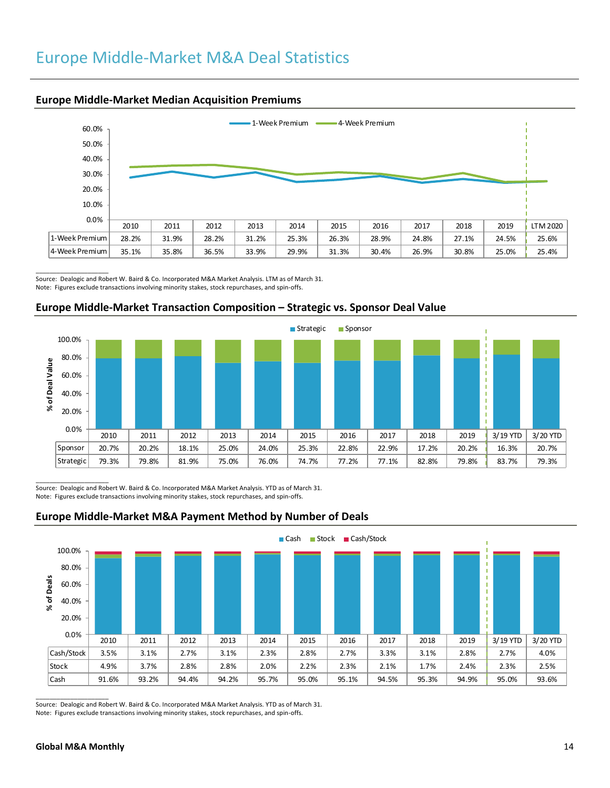## Europe Middle-Market M&A Deal Statistics



#### **Europe Middle-Market Median Acquisition Premiums**

 $\overline{\phantom{a}}$  , where  $\overline{\phantom{a}}$  , where  $\overline{\phantom{a}}$ Source: Dealogic and Robert W. Baird & Co. Incorporated M&A Market Analysis. LTM as of March 31. Note: Figures exclude transactions involving minority stakes, stock repurchases, and spin-offs.

### **Europe Middle-Market Transaction Composition – Strategic vs. Sponsor Deal Value**



 $\overline{\phantom{a}}$  ,  $\overline{\phantom{a}}$  ,  $\overline{\phantom{a}}$  ,  $\overline{\phantom{a}}$  ,  $\overline{\phantom{a}}$  ,  $\overline{\phantom{a}}$  ,  $\overline{\phantom{a}}$  ,  $\overline{\phantom{a}}$  ,  $\overline{\phantom{a}}$  ,  $\overline{\phantom{a}}$  ,  $\overline{\phantom{a}}$  ,  $\overline{\phantom{a}}$  ,  $\overline{\phantom{a}}$  ,  $\overline{\phantom{a}}$  ,  $\overline{\phantom{a}}$  ,  $\overline{\phantom{a}}$ Source: Dealogic and Robert W. Baird & Co. Incorporated M&A Market Analysis. YTD as of March 31. Note: Figures exclude transactions involving minority stakes, stock repurchases, and spin-offs.



#### **Europe Middle-Market M&A Payment Method by Number of Deals**

Source: Dealogic and Robert W. Baird & Co. Incorporated M&A Market Analysis. YTD as of March 31. Note: Figures exclude transactions involving minority stakes, stock repurchases, and spin-offs.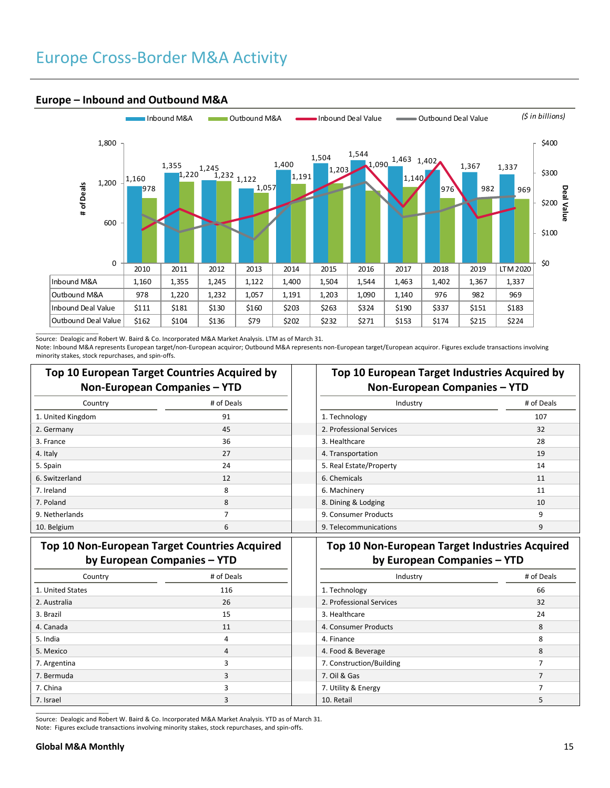## Europe Cross-Border M&A Activity



#### **Europe – Inbound and Outbound M&A**

\_\_\_\_\_\_\_\_\_\_\_\_\_\_\_\_\_\_\_\_\_ Source: Dealogic and Robert W. Baird & Co. Incorporated M&A Market Analysis. LTM as of March 31.

Note: Inbound M&A represents European target/non-European acquiror; Outbound M&A represents non-European target/European acquiror. Figures exclude transactions involving minority stakes, stock repurchases, and spin-offs.

|                   | Top 10 European Target Countries Acquired by<br>Non-European Companies - YTD | <b>Top 10 European Target Industries Acquired</b><br>Non-European Companies - YTD |         |  |  |
|-------------------|------------------------------------------------------------------------------|-----------------------------------------------------------------------------------|---------|--|--|
| Country           | # of Deals                                                                   | Industry                                                                          | # of De |  |  |
| 1. United Kingdom | 91                                                                           | 1. Technology                                                                     | 107     |  |  |
| 2. Germany        | 45                                                                           | 2. Professional Services                                                          | 32      |  |  |
| 3. France         | 36                                                                           | 3. Healthcare                                                                     | 28      |  |  |
| 4. Italy          | 27                                                                           | 4. Transportation                                                                 | 19      |  |  |
| 5. Spain          | 24                                                                           | 5. Real Estate/Property                                                           | 14      |  |  |
| 6. Switzerland    | 12                                                                           | 6. Chemicals                                                                      | 11      |  |  |
| 7. Ireland        | 8                                                                            | 6. Machinery                                                                      | 11      |  |  |
| 7. Poland         | 8                                                                            | 8. Dining & Lodging                                                               | 10      |  |  |
| 9. Netherlands    |                                                                              | 9. Consumer Products                                                              | 9       |  |  |
| 10. Belgium       | 6                                                                            | 9. Telecommunications                                                             | 9       |  |  |

## **Top 10 European Target Industries Acquired by Non-European Companies – YTD**

| Country | # of Deals | Industry                 | # of Deals |
|---------|------------|--------------------------|------------|
| mok     | 91         | 1. Technology            | 107        |
|         | 45         | 2. Professional Services | 32         |
|         | 36         | 3. Healthcare            | 28         |
|         | 27         | 4. Transportation        | 19         |
|         | 24         | 5. Real Estate/Property  | 14         |
|         | 12         | 6. Chemicals             | 11         |
|         | 8          | 6. Machinery             | 11         |
|         | 8          | 8. Dining & Lodging      | 10         |
|         |            | 9. Consumer Products     | q          |
|         | 6          | 9. Telecommunications    | 9          |

## **Top 10 Non-European Target Countries Acquired by European Companies – YTD**

| Country          | # of Deals | Industry                 | # of D |
|------------------|------------|--------------------------|--------|
| 1. United States | 116        | 1. Technology            | 66     |
| 2. Australia     | 26         | 2. Professional Services | 32     |
| 3. Brazil        | 15         | 3. Healthcare            | 24     |
| 4. Canada        | 11         | 4. Consumer Products     | 8      |
| 5. India         | 4          | 4. Finance               | 8      |
| 5. Mexico        | 4          | 4. Food & Beverage       | 8      |
| 7. Argentina     |            | 7. Construction/Building |        |
| 7. Bermuda       | 3          | 7. Oil & Gas             |        |
| 7. China         |            | 7. Utility & Energy      |        |
| 7. Israel        |            | 10. Retail               |        |

## **Top 10 Non-European Target Industries Acquired by European Companies – YTD**

| Country | # of Deals | Industry                 | # of Deals |
|---------|------------|--------------------------|------------|
| ۱S      | 116        | 1. Technology            | 66         |
|         | 26         | 2. Professional Services | 32         |
|         | 15         | 3. Healthcare            | 24         |
|         | 11         | 4. Consumer Products     | 8          |
|         | 4          | 4. Finance               | 8          |
|         | 4          | 4. Food & Beverage       | 8          |
|         | ╕          | 7. Construction/Building |            |
|         |            | 7. Oil & Gas             |            |
|         |            | 7. Utility & Energy      |            |
|         |            | 10. Retail               |            |

Source: Dealogic and Robert W. Baird & Co. Incorporated M&A Market Analysis. YTD as of March 31. Note: Figures exclude transactions involving minority stakes, stock repurchases, and spin-offs.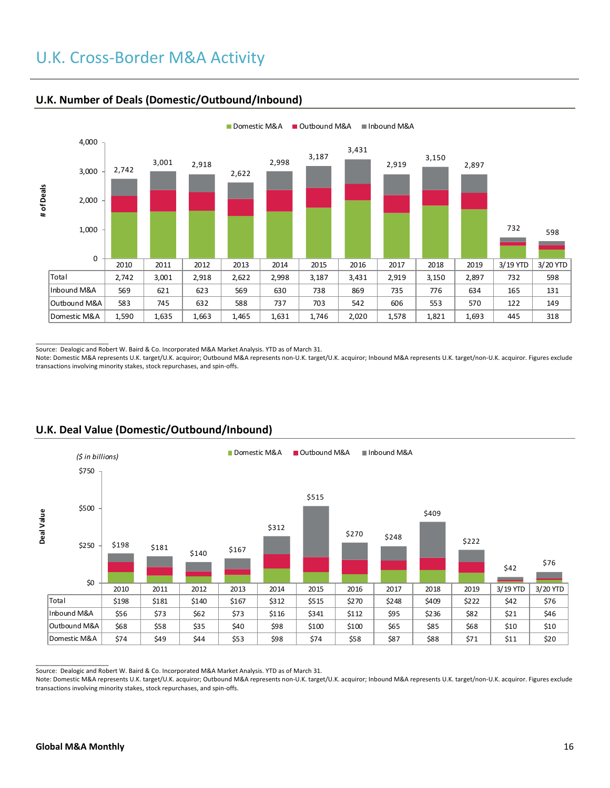# U.K. Cross-Border M&A Activity



### **U.K. Number of Deals (Domestic/Outbound/Inbound)**

 $\overline{\phantom{a}}$  , where  $\overline{\phantom{a}}$  , where  $\overline{\phantom{a}}$ Source: Dealogic and Robert W. Baird & Co. Incorporated M&A Market Analysis. YTD as of March 31.

Note: Domestic M&A represents U.K. target/U.K. acquiror; Outbound M&A represents non-U.K. target/U.K. acquiror; Inbound M&A represents U.K. target/non-U.K. acquiror. Figures exclude transactions involving minority stakes, stock repurchases, and spin-offs.



## **U.K. Deal Value (Domestic/Outbound/Inbound)**

Source: Dealogic and Robert W. Baird & Co. Incorporated M&A Market Analysis. YTD as of March 31.

Note: Domestic M&A represents U.K. target/U.K. acquiror; Outbound M&A represents non-U.K. target/U.K. acquiror; Inbound M&A represents U.K. target/non-U.K. acquiror. Figures exclude transactions involving minority stakes, stock repurchases, and spin-offs.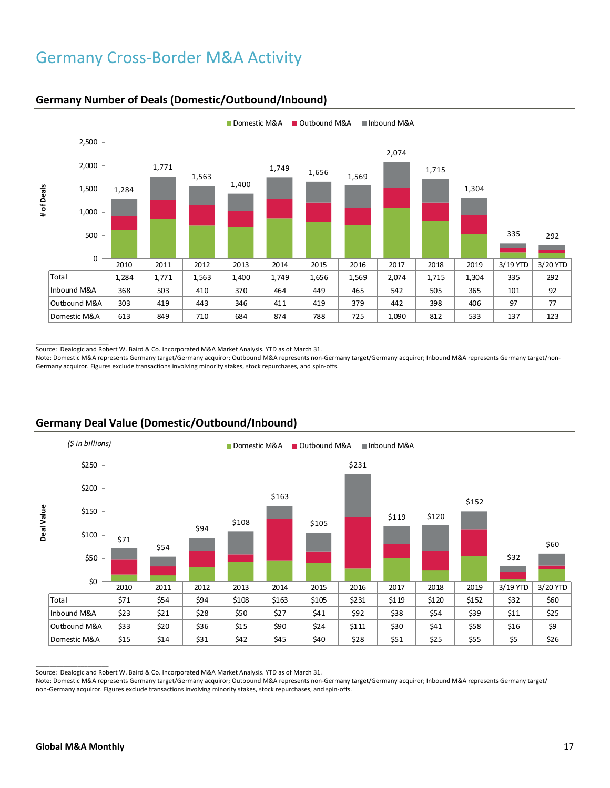## Germany Cross-Border M&A Activity



### **Germany Number of Deals (Domestic/Outbound/Inbound)**

Source: Dealogic and Robert W. Baird & Co. Incorporated M&A Market Analysis. YTD as of March 31.

Note: Domestic M&A represents Germany target/Germany acquiror; Outbound M&A represents non-Germany target/Germany acquiror; Inbound M&A represents Germany target/non-Germany acquiror. Figures exclude transactions involving minority stakes, stock repurchases, and spin-offs.



## **Germany Deal Value (Domestic/Outbound/Inbound)**

Source: Dealogic and Robert W. Baird & Co. Incorporated M&A Market Analysis. YTD as of March 31.

Note: Domestic M&A represents Germany target/Germany acquiror; Outbound M&A represents non-Germany target/Germany acquiror; Inbound M&A represents Germany target/ non-Germany acquiror. Figures exclude transactions involving minority stakes, stock repurchases, and spin-offs.

 $\overline{\phantom{a}}$  ,  $\overline{\phantom{a}}$  ,  $\overline{\phantom{a}}$  ,  $\overline{\phantom{a}}$  ,  $\overline{\phantom{a}}$  ,  $\overline{\phantom{a}}$  ,  $\overline{\phantom{a}}$  ,  $\overline{\phantom{a}}$  ,  $\overline{\phantom{a}}$  ,  $\overline{\phantom{a}}$  ,  $\overline{\phantom{a}}$  ,  $\overline{\phantom{a}}$  ,  $\overline{\phantom{a}}$  ,  $\overline{\phantom{a}}$  ,  $\overline{\phantom{a}}$  ,  $\overline{\phantom{a}}$ 

 $\overline{\phantom{a}}$  , where  $\overline{\phantom{a}}$  , where  $\overline{\phantom{a}}$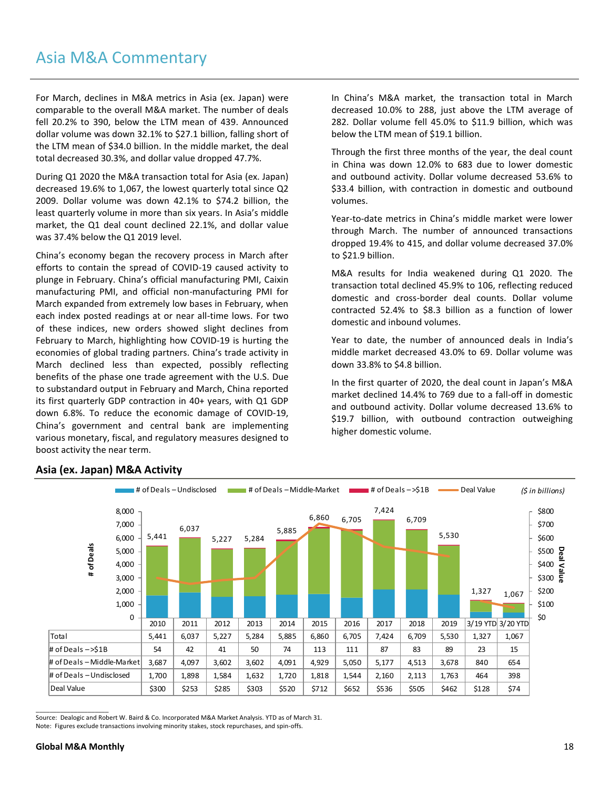## Asia M&A Commentary

For March, declines in M&A metrics in Asia (ex. Japan) were comparable to the overall M&A market. The number of deals fell 20.2% to 390, below the LTM mean of 439. Announced dollar volume was down 32.1% to \$27.1 billion, falling short of the LTM mean of \$34.0 billion. In the middle market, the deal total decreased 30.3%, and dollar value dropped 47.7%.

During Q1 2020 the M&A transaction total for Asia (ex. Japan) decreased 19.6% to 1,067, the lowest quarterly total since Q2 2009. Dollar volume was down 42.1% to \$74.2 billion, the least quarterly volume in more than six years. In Asia's middle market, the Q1 deal count declined 22.1%, and dollar value was 37.4% below the Q1 2019 level.

China's economy began the recovery process in March after efforts to contain the spread of COVID-19 caused activity to plunge in February. China's official manufacturing PMI, Caixin manufacturing PMI, and official non-manufacturing PMI for March expanded from extremely low bases in February, when each index posted readings at or near all-time lows. For two of these indices, new orders showed slight declines from February to March, highlighting how COVID-19 is hurting the economies of global trading partners. China's trade activity in March declined less than expected, possibly reflecting benefits of the phase one trade agreement with the U.S. Due to substandard output in February and March, China reported its first quarterly GDP contraction in 40+ years, with Q1 GDP down 6.8%. To reduce the economic damage of COVID-19, China's government and central bank are implementing various monetary, fiscal, and regulatory measures designed to boost activity the near term.

In China's M&A market, the transaction total in March decreased 10.0% to 288, just above the LTM average of 282. Dollar volume fell 45.0% to \$11.9 billion, which was below the LTM mean of \$19.1 billion.

Through the first three months of the year, the deal count in China was down 12.0% to 683 due to lower domestic and outbound activity. Dollar volume decreased 53.6% to \$33.4 billion, with contraction in domestic and outbound volumes.

Year-to-date metrics in China's middle market were lower through March. The number of announced transactions dropped 19.4% to 415, and dollar volume decreased 37.0% to \$21.9 billion.

M&A results for India weakened during Q1 2020. The transaction total declined 45.9% to 106, reflecting reduced domestic and cross-border deal counts. Dollar volume contracted 52.4% to \$8.3 billion as a function of lower domestic and inbound volumes.

Year to date, the number of announced deals in India's middle market decreased 43.0% to 69. Dollar volume was down 33.8% to \$4.8 billion.

In the first quarter of 2020, the deal count in Japan's M&A market declined 14.4% to 769 due to a fall-off in domestic and outbound activity. Dollar volume decreased 13.6% to \$19.7 billion, with outbound contraction outweighing higher domestic volume.



### **Asia (ex. Japan) M&A Activity**

\_\_\_\_\_\_\_\_\_\_\_\_\_\_\_\_\_\_\_\_\_

Source: Dealogic and Robert W. Baird & Co. Incorporated M&A Market Analysis. YTD as of March 31. Note: Figures exclude transactions involving minority stakes, stock repurchases, and spin-offs.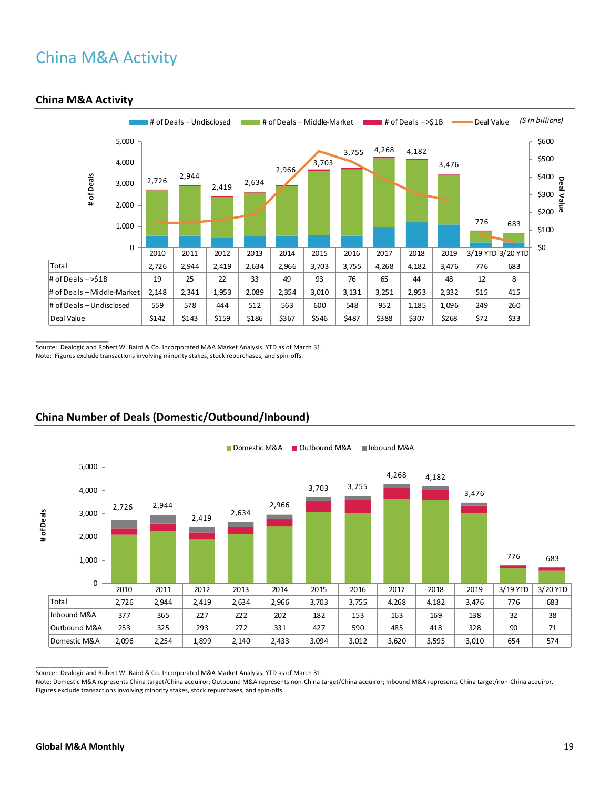# China M&A Activity



### **China M&A Activity**

\_\_\_\_\_\_\_\_\_\_\_\_\_\_\_\_\_\_\_\_\_ Source: Dealogic and Robert W. Baird & Co. Incorporated M&A Market Analysis. YTD as of March 31. Note: Figures exclude transactions involving minority stakes, stock repurchases, and spin-offs.



## **China Number of Deals (Domestic/Outbound/Inbound)**

Source: Dealogic and Robert W. Baird & Co. Incorporated M&A Market Analysis. YTD as of March 31.

Note: Domestic M&A represents China target/China acquiror; Outbound M&A represents non-China target/China acquiror; Inbound M&A represents China target/non-China acquiror. Figures exclude transactions involving minority stakes, stock repurchases, and spin-offs.

\_\_\_\_\_\_\_\_\_\_\_\_\_\_\_\_\_\_\_\_\_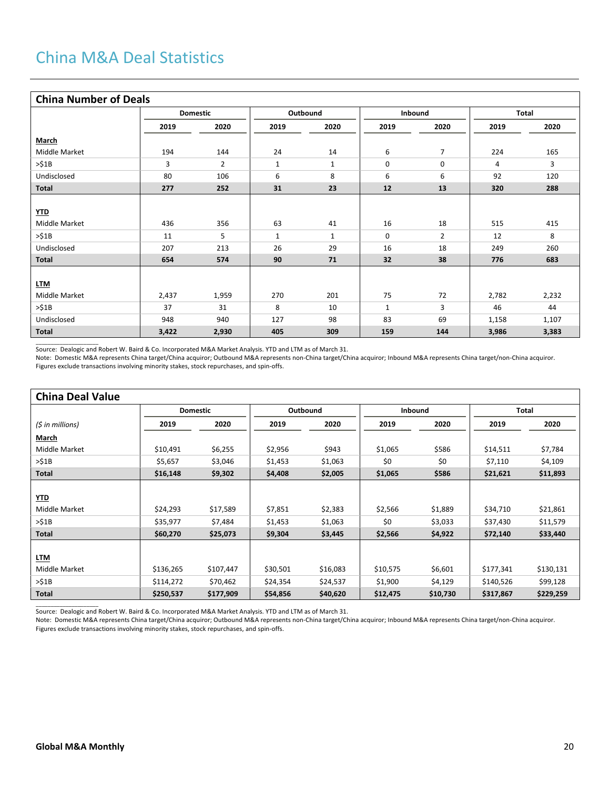### **China Number of Deals**

| CHING IVANIVER UP DEGIS |       |                 |              |              |              |                |       |       |
|-------------------------|-------|-----------------|--------------|--------------|--------------|----------------|-------|-------|
|                         |       | <b>Domestic</b> |              | Outbound     |              | Inbound        |       | Total |
|                         | 2019  | 2020            | 2019         | 2020         | 2019         | 2020           | 2019  | 2020  |
| March                   |       |                 |              |              |              |                |       |       |
| Middle Market           | 194   | 144             | 24           | 14           | 6            | $\overline{7}$ | 224   | 165   |
| >51B                    | 3     | $\overline{2}$  | $\mathbf{1}$ | 1            | 0            | 0              | 4     | 3     |
| Undisclosed             | 80    | 106             | 6            | 8            | 6            | 6              | 92    | 120   |
| <b>Total</b>            | 277   | 252             | 31           | 23           | 12           | 13             | 320   | 288   |
|                         |       |                 |              |              |              |                |       |       |
| YTD                     |       |                 |              |              |              |                |       |       |
| Middle Market           | 436   | 356             | 63           | 41           | 16           | 18             | 515   | 415   |
| >51B                    | 11    | 5               | $\mathbf{1}$ | $\mathbf{1}$ | 0            | $\overline{2}$ | 12    | 8     |
| Undisclosed             | 207   | 213             | 26           | 29           | 16           | 18             | 249   | 260   |
| <b>Total</b>            | 654   | 574             | 90           | 71           | 32           | 38             | 776   | 683   |
|                         |       |                 |              |              |              |                |       |       |
| <b>LTM</b>              |       |                 |              |              |              |                |       |       |
| Middle Market           | 2,437 | 1,959           | 270          | 201          | 75           | 72             | 2,782 | 2,232 |
| >51B                    | 37    | 31              | 8            | 10           | $\mathbf{1}$ | 3              | 46    | 44    |
| Undisclosed             | 948   | 940             | 127          | 98           | 83           | 69             | 1,158 | 1,107 |
| <b>Total</b>            | 3,422 | 2,930           | 405          | 309          | 159          | 144            | 3,986 | 3,383 |

\_\_\_\_\_\_\_\_\_\_\_\_\_\_\_\_\_\_\_\_\_ Source: Dealogic and Robert W. Baird & Co. Incorporated M&A Market Analysis. YTD and LTM as of March 31.

Note: Domestic M&A represents China target/China acquiror; Outbound M&A represents non-China target/China acquiror; Inbound M&A represents China target/non-China acquiror. Figures exclude transactions involving minority stakes, stock repurchases, and spin-offs.

| <b>China Deal Value</b> |           |                 |          |          |          |          |           |           |  |
|-------------------------|-----------|-----------------|----------|----------|----------|----------|-----------|-----------|--|
|                         |           | <b>Domestic</b> |          | Outbound |          | Inbound  |           | Total     |  |
| (\$ in millions)        | 2019      | 2020            | 2019     | 2020     | 2019     | 2020     | 2019      | 2020      |  |
| March                   |           |                 |          |          |          |          |           |           |  |
| Middle Market           | \$10,491  | \$6,255         | \$2,956  | \$943    | \$1,065  | \$586    | \$14,511  | \$7,784   |  |
| >51B                    | \$5,657   | \$3,046         | \$1,453  | \$1,063  | \$0      | \$0      | \$7,110   | \$4,109   |  |
| <b>Total</b>            | \$16,148  | \$9,302         | \$4,408  | \$2,005  | \$1,065  | \$586    | \$21,621  | \$11,893  |  |
|                         |           |                 |          |          |          |          |           |           |  |
| <u>YTD</u>              |           |                 |          |          |          |          |           |           |  |
| Middle Market           | \$24,293  | \$17,589        | \$7,851  | \$2,383  | \$2,566  | \$1,889  | \$34,710  | \$21,861  |  |
| >51B                    | \$35,977  | \$7,484         | \$1,453  | \$1,063  | \$0      | \$3,033  | \$37,430  | \$11,579  |  |
| <b>Total</b>            | \$60,270  | \$25,073        | \$9,304  | \$3,445  | \$2,566  | \$4,922  | \$72,140  | \$33,440  |  |
|                         |           |                 |          |          |          |          |           |           |  |
| <b>LTM</b>              |           |                 |          |          |          |          |           |           |  |
| Middle Market           | \$136,265 | \$107,447       | \$30,501 | \$16,083 | \$10,575 | \$6,601  | \$177,341 | \$130,131 |  |
| >51B                    | \$114,272 | \$70,462        | \$24,354 | \$24,537 | \$1,900  | \$4,129  | \$140,526 | \$99,128  |  |
| <b>Total</b>            | \$250,537 | \$177,909       | \$54,856 | \$40,620 | \$12,475 | \$10,730 | \$317,867 | \$229,259 |  |

\_\_\_\_\_\_\_\_\_\_\_\_\_\_\_\_\_\_\_\_\_ Source: Dealogic and Robert W. Baird & Co. Incorporated M&A Market Analysis. YTD and LTM as of March 31.

Note: Domestic M&A represents China target/China acquiror; Outbound M&A represents non-China target/China acquiror; Inbound M&A represents China target/non-China acquiror. Figures exclude transactions involving minority stakes, stock repurchases, and spin-offs.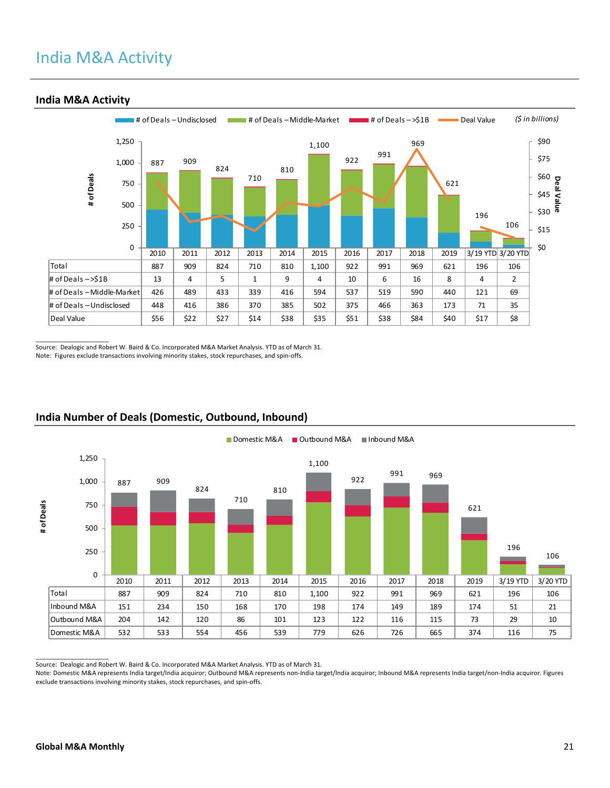# India M&A Activity



#### **India M&A Activity**

\_\_\_\_\_\_\_\_\_\_\_\_\_\_\_\_\_\_\_\_\_ Source: Dealogic and Robert W. Baird & Co. Incorporated M&A Market Analysis. YTD as of March 31. Note: Figures exclude transactions involving minority stakes, stock repurchases, and spin-offs.



## **India Number of Deals (Domestic, Outbound, Inbound)**

Source: Dealogic and Robert W. Baird & Co. Incorporated M&A Market Analysis. YTD as of March 31.

Note: Domestic M&A represents India target/India acquiror; Outbound M&A represents non-India target/India acquiror; Inbound M&A represents India target/non-India acquiror. Figures exclude transactions involving minority stakes, stock repurchases, and spin-offs.

 $\overline{\phantom{a}}$  , where  $\overline{\phantom{a}}$  , where  $\overline{\phantom{a}}$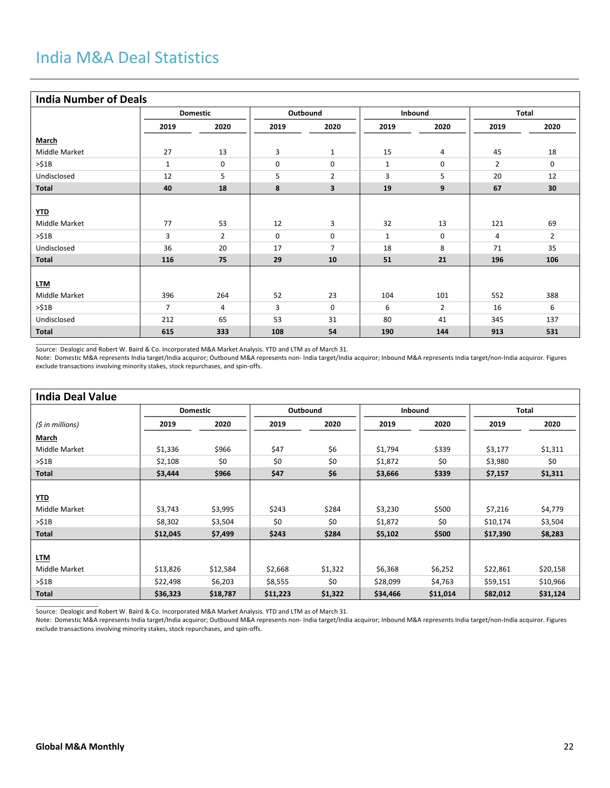## **India Number of Deals**

| <b>IIIUIA IVUIIINEI UI DEAIS</b> |                |                 |      |                |              |                |      |                |
|----------------------------------|----------------|-----------------|------|----------------|--------------|----------------|------|----------------|
|                                  |                | <b>Domestic</b> |      | Outbound       |              | Inbound        |      | <b>Total</b>   |
|                                  | 2019           | 2020            | 2019 | 2020           | 2019         | 2020           | 2019 | 2020           |
| <b>March</b>                     |                |                 |      |                |              |                |      |                |
| Middle Market                    | 27             | 13              | 3    | $\mathbf{1}$   | 15           | 4              | 45   | 18             |
| >51B                             | $\mathbf{1}$   | 0               | 0    | 0              | $\mathbf{1}$ | 0              | 2    | 0              |
| Undisclosed                      | 12             | 5               | 5    | $\overline{2}$ | 3            | 5              | 20   | 12             |
| Total                            | 40             | 18              | 8    | 3              | 19           | 9              | 67   | 30             |
|                                  |                |                 |      |                |              |                |      |                |
| YID                              |                |                 |      |                |              |                |      |                |
| Middle Market                    | 77             | 53              | 12   | 3              | 32           | 13             | 121  | 69             |
| >51B                             | 3              | $\overline{2}$  | 0    | 0              | $\mathbf{1}$ | 0              | 4    | $\overline{2}$ |
| Undisclosed                      | 36             | 20              | 17   | $\overline{7}$ | 18           | 8              | 71   | 35             |
| <b>Total</b>                     | 116            | 75              | 29   | 10             | 51           | 21             | 196  | 106            |
|                                  |                |                 |      |                |              |                |      |                |
| <b>LTM</b>                       |                |                 |      |                |              |                |      |                |
| Middle Market                    | 396            | 264             | 52   | 23             | 104          | 101            | 552  | 388            |
| >51B                             | $\overline{7}$ | 4               | 3    | $\mathbf 0$    | 6            | $\overline{2}$ | 16   | 6              |
| Undisclosed                      | 212            | 65              | 53   | 31             | 80           | 41             | 345  | 137            |
| <b>Total</b>                     | 615            | 333             | 108  | 54             | 190          | 144            | 913  | 531            |

\_\_\_\_\_\_\_\_\_\_\_\_\_\_\_\_\_\_\_\_\_ Source: Dealogic and Robert W. Baird & Co. Incorporated M&A Market Analysis. YTD and LTM as of March 31.

Note: Domestic M&A represents India target/India acquiror; Outbound M&A represents non- India target/India acquiror; Inbound M&A represents India target/non-India acquiror. Figures exclude transactions involving minority stakes, stock repurchases, and spin-offs.

| <b>India Deal Value</b> |                 |          |          |         |          |          |          |          |
|-------------------------|-----------------|----------|----------|---------|----------|----------|----------|----------|
|                         | <b>Domestic</b> |          | Outbound |         | Inbound  |          | Total    |          |
| (\$ in millions)        | 2019            | 2020     | 2019     | 2020    | 2019     | 2020     | 2019     | 2020     |
| March                   |                 |          |          |         |          |          |          |          |
| Middle Market           | \$1,336         | \$966    | \$47     | \$6     | \$1,794  | \$339    | \$3,177  | \$1,311  |
| >51B                    | \$2,108         | \$0      | \$0      | \$0     | \$1,872  | \$0      | \$3,980  | \$0      |
| Total                   | \$3,444         | \$966    | \$47     | \$6     | \$3,666  | \$339    | \$7,157  | \$1,311  |
|                         |                 |          |          |         |          |          |          |          |
| <u>YTD</u>              |                 |          |          |         |          |          |          |          |
| Middle Market           | \$3,743         | \$3,995  | \$243    | \$284   | \$3,230  | \$500    | \$7,216  | \$4,779  |
| >51B                    | \$8,302         | \$3,504  | \$0      | \$0     | \$1,872  | \$0      | \$10,174 | \$3,504  |
| Total                   | \$12,045        | \$7,499  | \$243    | \$284   | \$5,102  | \$500    | \$17,390 | \$8,283  |
|                         |                 |          |          |         |          |          |          |          |
| <b>LTM</b>              |                 |          |          |         |          |          |          |          |
| Middle Market           | \$13,826        | \$12,584 | \$2,668  | \$1,322 | \$6,368  | \$6,252  | \$22,861 | \$20,158 |
| >51B                    | \$22,498        | \$6,203  | \$8,555  | \$0     | \$28,099 | \$4,763  | \$59,151 | \$10,966 |
| <b>Total</b>            | \$36,323        | \$18,787 | \$11,223 | \$1,322 | \$34,466 | \$11,014 | \$82,012 | \$31,124 |

\_\_\_\_\_\_\_\_\_\_\_\_\_\_\_\_\_\_\_\_\_ Source: Dealogic and Robert W. Baird & Co. Incorporated M&A Market Analysis. YTD and LTM as of March 31.

Note: Domestic M&A represents India target/India acquiror; Outbound M&A represents non- India target/India acquiror; Inbound M&A represents India target/non-India acquiror. Figures exclude transactions involving minority stakes, stock repurchases, and spin-offs.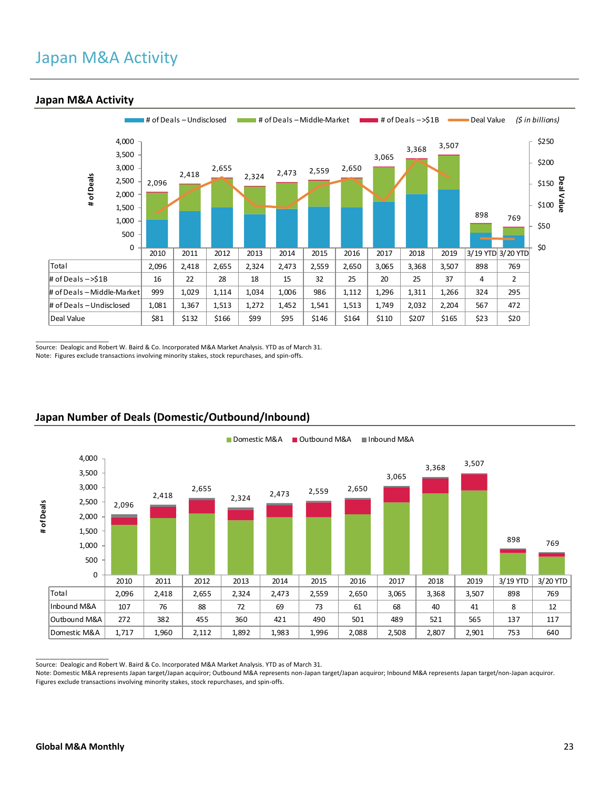## Japan M&A Activity



#### **Japan M&A Activity**

\_\_\_\_\_\_\_\_\_\_\_\_\_\_\_\_\_\_\_\_\_ Source: Dealogic and Robert W. Baird & Co. Incorporated M&A Market Analysis. YTD as of March 31. Note: Figures exclude transactions involving minority stakes, stock repurchases, and spin-offs.



## **Japan Number of Deals (Domestic/Outbound/Inbound)**

Source: Dealogic and Robert W. Baird & Co. Incorporated M&A Market Analysis. YTD as of March 31.

Note: Domestic M&A represents Japan target/Japan acquiror; Outbound M&A represents non-Japan target/Japan acquiror; Inbound M&A represents Japan target/non-Japan acquiror. Figures exclude transactions involving minority stakes, stock repurchases, and spin-offs.

 $\overline{\phantom{a}}$  , where  $\overline{\phantom{a}}$  , where  $\overline{\phantom{a}}$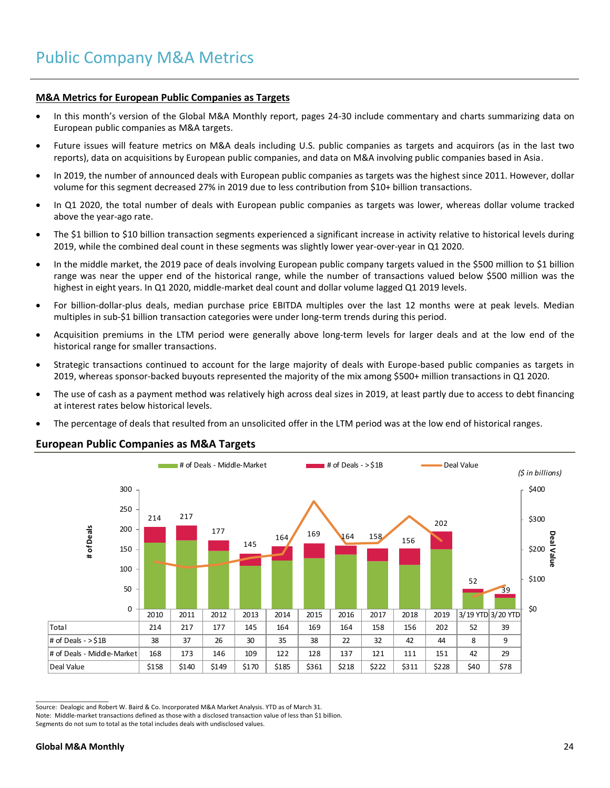#### **M&A Metrics for European Public Companies as Targets**

- In this month's version of the Global M&A Monthly report, pages 24-30 include commentary and charts summarizing data on European public companies as M&A targets.
- Future issues will feature metrics on M&A deals including U.S. public companies as targets and acquirors (as in the last two reports), data on acquisitions by European public companies, and data on M&A involving public companies based in Asia.
- In 2019, the number of announced deals with European public companies as targets was the highest since 2011. However, dollar volume for this segment decreased 27% in 2019 due to less contribution from \$10+ billion transactions.
- In Q1 2020, the total number of deals with European public companies as targets was lower, whereas dollar volume tracked above the year-ago rate.
- The \$1 billion to \$10 billion transaction segments experienced a significant increase in activity relative to historical levels during 2019, while the combined deal count in these segments was slightly lower year-over-year in Q1 2020.
- In the middle market, the 2019 pace of deals involving European public company targets valued in the \$500 million to \$1 billion range was near the upper end of the historical range, while the number of transactions valued below \$500 million was the highest in eight years. In Q1 2020, middle-market deal count and dollar volume lagged Q1 2019 levels.
- For billion-dollar-plus deals, median purchase price EBITDA multiples over the last 12 months were at peak levels. Median multiples in sub-\$1 billion transaction categories were under long-term trends during this period.
- Acquisition premiums in the LTM period were generally above long-term levels for larger deals and at the low end of the historical range for smaller transactions.
- Strategic transactions continued to account for the large majority of deals with Europe-based public companies as targets in 2019, whereas sponsor-backed buyouts represented the majority of the mix among \$500+ million transactions in Q1 2020.
- The use of cash as a payment method was relatively high across deal sizes in 2019, at least partly due to access to debt financing at interest rates below historical levels.
- The percentage of deals that resulted from an unsolicited offer in the LTM period was at the low end of historical ranges.

#### **European Public Companies as M&A Targets**



Source: Dealogic and Robert W. Baird & Co. Incorporated M&A Market Analysis. YTD as of March 31.

Note: Middle-market transactions defined as those with a disclosed transaction value of less than \$1 billion.

Segments do not sum to total as the total includes deals with undisclosed values.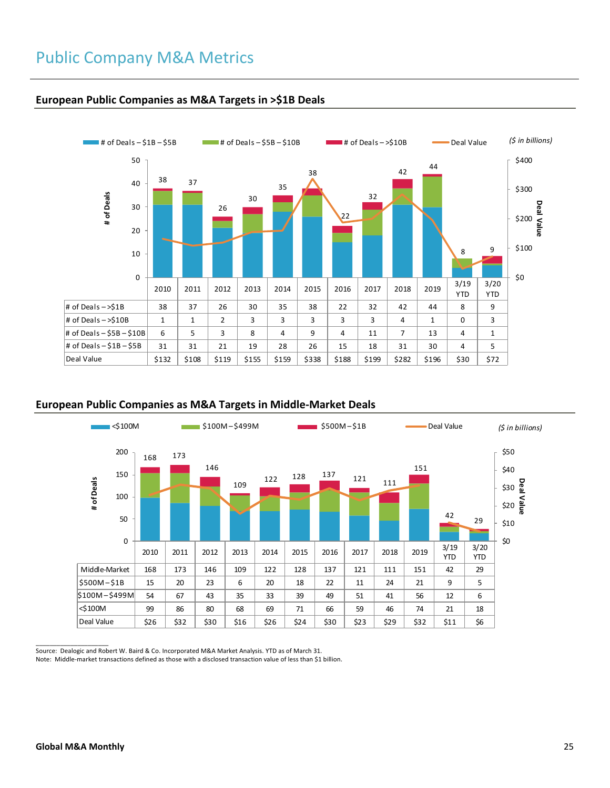

### **European Public Companies as M&A Targets in >\$1B Deals**

### **European Public Companies as M&A Targets in Middle-Market Deals**



Source: Dealogic and Robert W. Baird & Co. Incorporated M&A Market Analysis. YTD as of March 31.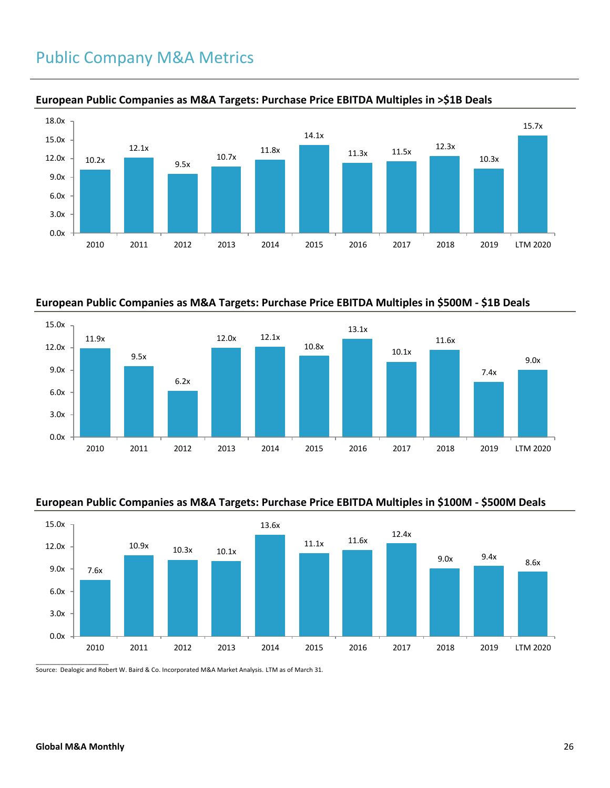# Public Company M&A Metrics



### **European Public Companies as M&A Targets: Purchase Price EBITDA Multiples in >\$1B Deals**

**European Public Companies as M&A Targets: Purchase Price EBITDA Multiples in \$500M - \$1B Deals**



### **European Public Companies as M&A Targets: Purchase Price EBITDA Multiples in \$100M - \$500M Deals**



Source: Dealogic and Robert W. Baird & Co. Incorporated M&A Market Analysis. LTM as of March 31.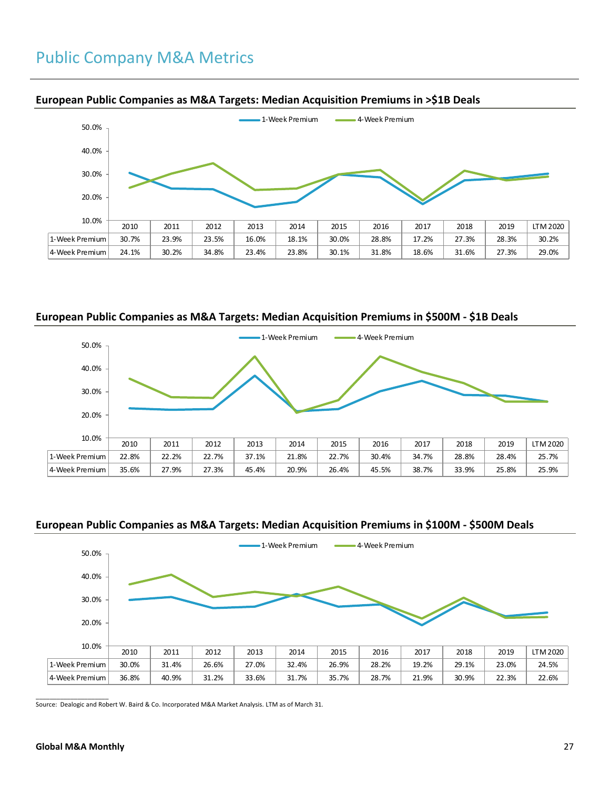

#### **European Public Companies as M&A Targets: Median Acquisition Premiums in >\$1B Deals**

### **European Public Companies as M&A Targets: Median Acquisition Premiums in \$500M - \$1B Deals**



### **European Public Companies as M&A Targets: Median Acquisition Premiums in \$100M - \$500M Deals**



 $\overline{\phantom{a}}$  ,  $\overline{\phantom{a}}$  ,  $\overline{\phantom{a}}$  ,  $\overline{\phantom{a}}$  ,  $\overline{\phantom{a}}$  ,  $\overline{\phantom{a}}$  ,  $\overline{\phantom{a}}$  ,  $\overline{\phantom{a}}$  ,  $\overline{\phantom{a}}$  ,  $\overline{\phantom{a}}$  ,  $\overline{\phantom{a}}$  ,  $\overline{\phantom{a}}$  ,  $\overline{\phantom{a}}$  ,  $\overline{\phantom{a}}$  ,  $\overline{\phantom{a}}$  ,  $\overline{\phantom{a}}$ Source: Dealogic and Robert W. Baird & Co. Incorporated M&A Market Analysis. LTM as of March 31.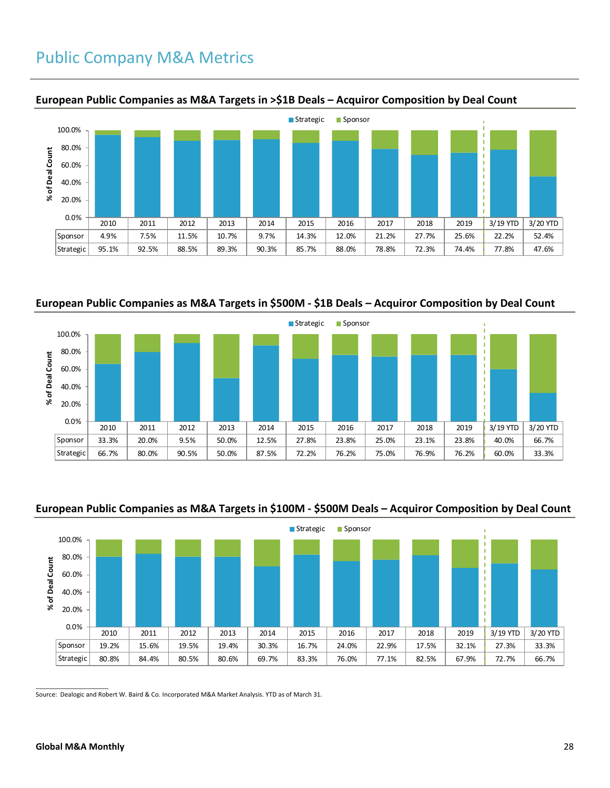## Public Company M&A Metrics



#### **European Public Companies as M&A Targets in >\$1B Deals – Acquiror Composition by Deal Count**

## **European Public Companies as M&A Targets in \$500M - \$1B Deals – Acquiror Composition by Deal Count**



### **European Public Companies as M&A Targets in \$100M - \$500M Deals – Acquiror Composition by Deal Count**



Source: Dealogic and Robert W. Baird & Co. Incorporated M&A Market Analysis. YTD as of March 31.

\_\_\_\_\_\_\_\_\_\_\_\_\_\_\_\_\_\_\_\_\_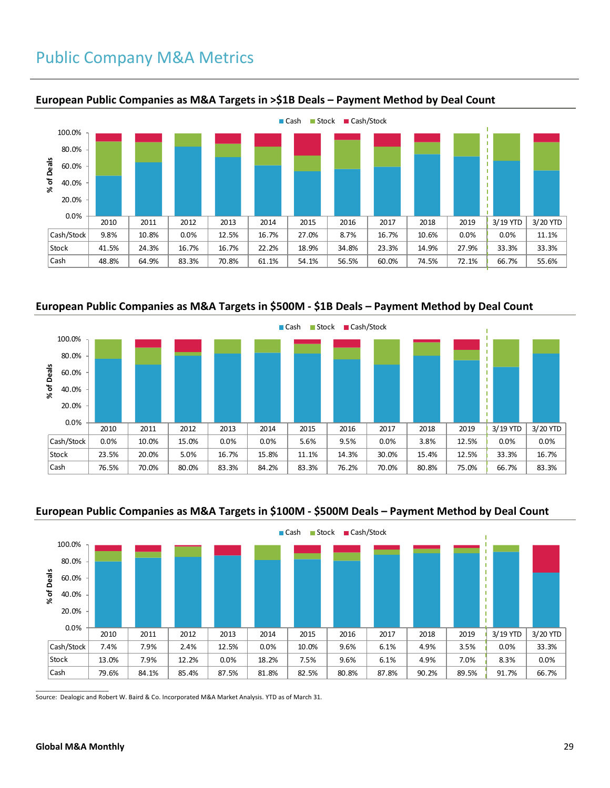## Public Company M&A Metrics



#### **European Public Companies as M&A Targets in >\$1B Deals – Payment Method by Deal Count**

**European Public Companies as M&A Targets in \$500M - \$1B Deals – Payment Method by Deal Count**



### **European Public Companies as M&A Targets in \$100M - \$500M Deals – Payment Method by Deal Count**



Source: Dealogic and Robert W. Baird & Co. Incorporated M&A Market Analysis. YTD as of March 31.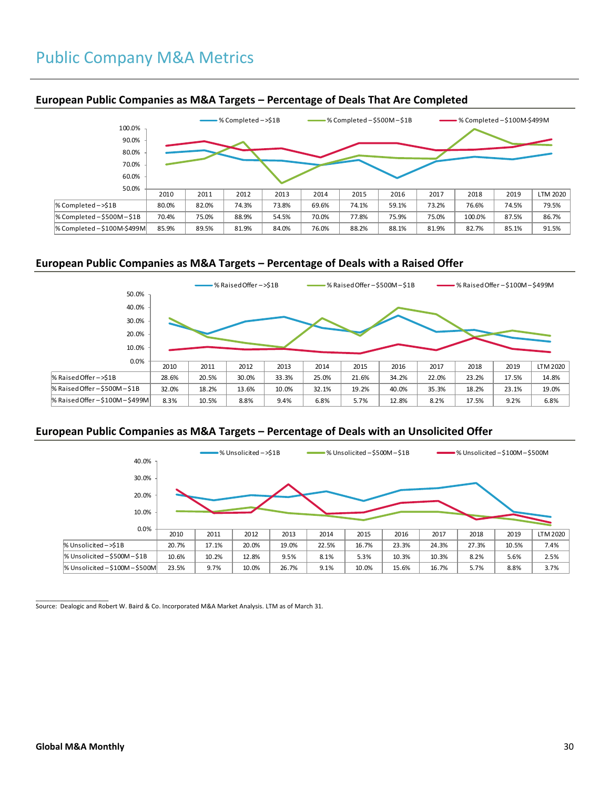

#### **European Public Companies as M&A Targets – Percentage of Deals That Are Completed**

### **European Public Companies as M&A Targets – Percentage of Deals with a Raised Offer**



#### **European Public Companies as M&A Targets – Percentage of Deals with an Unsolicited Offer**



 $\overline{\phantom{a}}$  ,  $\overline{\phantom{a}}$  ,  $\overline{\phantom{a}}$  ,  $\overline{\phantom{a}}$  ,  $\overline{\phantom{a}}$  ,  $\overline{\phantom{a}}$  ,  $\overline{\phantom{a}}$  ,  $\overline{\phantom{a}}$  ,  $\overline{\phantom{a}}$  ,  $\overline{\phantom{a}}$  ,  $\overline{\phantom{a}}$  ,  $\overline{\phantom{a}}$  ,  $\overline{\phantom{a}}$  ,  $\overline{\phantom{a}}$  ,  $\overline{\phantom{a}}$  ,  $\overline{\phantom{a}}$ Source: Dealogic and Robert W. Baird & Co. Incorporated M&A Market Analysis. LTM as of March 31.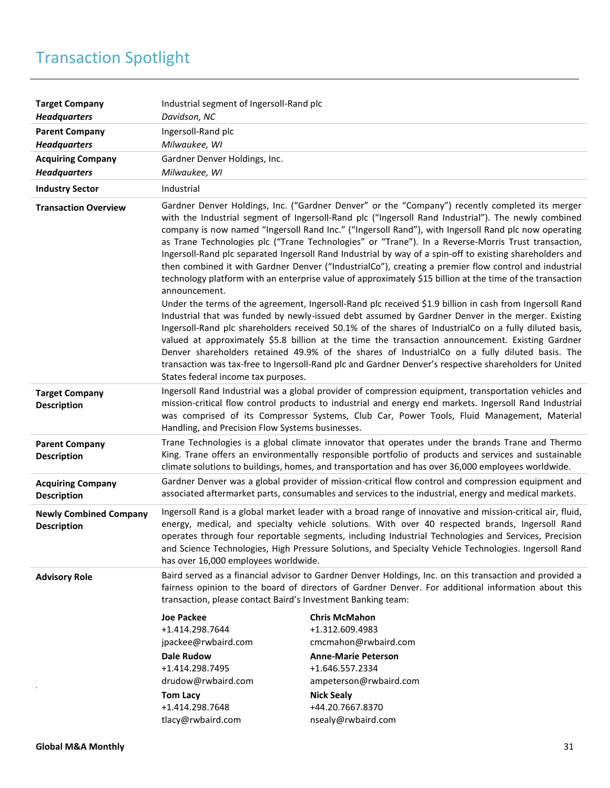# Transaction Spotlight

| <b>Target Company</b><br><b>Headquarters</b>        | Industrial segment of Ingersoll-Rand plc<br>Davidson, NC                                                                                                                             |                                                                                                                                                                                                                                                                                                                                                                                                                                                                                                                                                                                                                                                                                                                                                         |
|-----------------------------------------------------|--------------------------------------------------------------------------------------------------------------------------------------------------------------------------------------|---------------------------------------------------------------------------------------------------------------------------------------------------------------------------------------------------------------------------------------------------------------------------------------------------------------------------------------------------------------------------------------------------------------------------------------------------------------------------------------------------------------------------------------------------------------------------------------------------------------------------------------------------------------------------------------------------------------------------------------------------------|
| <b>Parent Company</b><br><b>Headquarters</b>        | Ingersoll-Rand plc<br>Milwaukee, WI                                                                                                                                                  |                                                                                                                                                                                                                                                                                                                                                                                                                                                                                                                                                                                                                                                                                                                                                         |
| <b>Acquiring Company</b><br><b>Headquarters</b>     | Gardner Denver Holdings, Inc.<br>Milwaukee, WI                                                                                                                                       |                                                                                                                                                                                                                                                                                                                                                                                                                                                                                                                                                                                                                                                                                                                                                         |
| <b>Industry Sector</b>                              | Industrial                                                                                                                                                                           |                                                                                                                                                                                                                                                                                                                                                                                                                                                                                                                                                                                                                                                                                                                                                         |
| <b>Transaction Overview</b>                         | announcement.                                                                                                                                                                        | Gardner Denver Holdings, Inc. ("Gardner Denver" or the "Company") recently completed its merger<br>with the Industrial segment of Ingersoll-Rand plc ("Ingersoll Rand Industrial"). The newly combined<br>company is now named "Ingersoll Rand Inc." ("Ingersoll Rand"), with Ingersoll Rand plc now operating<br>as Trane Technologies plc ("Trane Technologies" or "Trane"). In a Reverse-Morris Trust transaction,<br>Ingersoll-Rand plc separated Ingersoll Rand Industrial by way of a spin-off to existing shareholders and<br>then combined it with Gardner Denver ("IndustrialCo"), creating a premier flow control and industrial<br>technology platform with an enterprise value of approximately \$15 billion at the time of the transaction |
|                                                     | States federal income tax purposes.                                                                                                                                                  | Under the terms of the agreement, Ingersoll-Rand plc received \$1.9 billion in cash from Ingersoll Rand<br>Industrial that was funded by newly-issued debt assumed by Gardner Denver in the merger. Existing<br>Ingersoll-Rand plc shareholders received 50.1% of the shares of IndustrialCo on a fully diluted basis,<br>valued at approximately \$5.8 billion at the time the transaction announcement. Existing Gardner<br>Denver shareholders retained 49.9% of the shares of IndustrialCo on a fully diluted basis. The<br>transaction was tax-free to Ingersoll-Rand plc and Gardner Denver's respective shareholders for United                                                                                                                  |
| <b>Target Company</b><br><b>Description</b>         | Handling, and Precision Flow Systems businesses.                                                                                                                                     | Ingersoll Rand Industrial was a global provider of compression equipment, transportation vehicles and<br>mission-critical flow control products to industrial and energy end markets. Ingersoll Rand Industrial<br>was comprised of its Compressor Systems, Club Car, Power Tools, Fluid Management, Material                                                                                                                                                                                                                                                                                                                                                                                                                                           |
| <b>Parent Company</b><br><b>Description</b>         |                                                                                                                                                                                      | Trane Technologies is a global climate innovator that operates under the brands Trane and Thermo<br>King. Trane offers an environmentally responsible portfolio of products and services and sustainable<br>climate solutions to buildings, homes, and transportation and has over 36,000 employees worldwide.                                                                                                                                                                                                                                                                                                                                                                                                                                          |
| <b>Acquiring Company</b><br><b>Description</b>      |                                                                                                                                                                                      | Gardner Denver was a global provider of mission-critical flow control and compression equipment and<br>associated aftermarket parts, consumables and services to the industrial, energy and medical markets.                                                                                                                                                                                                                                                                                                                                                                                                                                                                                                                                            |
| <b>Newly Combined Company</b><br><b>Description</b> | has over 16,000 employees worldwide.                                                                                                                                                 | Ingersoll Rand is a global market leader with a broad range of innovative and mission-critical air, fluid,<br>energy, medical, and specialty vehicle solutions. With over 40 respected brands, Ingersoll Rand<br>operates through four reportable segments, including Industrial Technologies and Services, Precision<br>and Science Technologies, High Pressure Solutions, and Specialty Vehicle Technologies. Ingersoll Rand                                                                                                                                                                                                                                                                                                                          |
| <b>Advisory Role</b>                                | transaction, please contact Baird's Investment Banking team:                                                                                                                         | Baird served as a financial advisor to Gardner Denver Holdings, Inc. on this transaction and provided a<br>fairness opinion to the board of directors of Gardner Denver. For additional information about this                                                                                                                                                                                                                                                                                                                                                                                                                                                                                                                                          |
|                                                     | <b>Joe Packee</b><br>+1.414.298.7644<br>jpackee@rwbaird.com<br><b>Dale Rudow</b><br>+1.414.298.7495<br>drudow@rwbaird.com<br><b>Tom Lacy</b><br>+1.414.298.7648<br>tlacy@rwbaird.com | <b>Chris McMahon</b><br>+1.312.609.4983<br>cmcmahon@rwbaird.com<br><b>Anne-Marie Peterson</b><br>+1.646.557.2334<br>ampeterson@rwbaird.com<br><b>Nick Sealy</b><br>+44.20.7667.8370<br>nsealy@rwbaird.com                                                                                                                                                                                                                                                                                                                                                                                                                                                                                                                                               |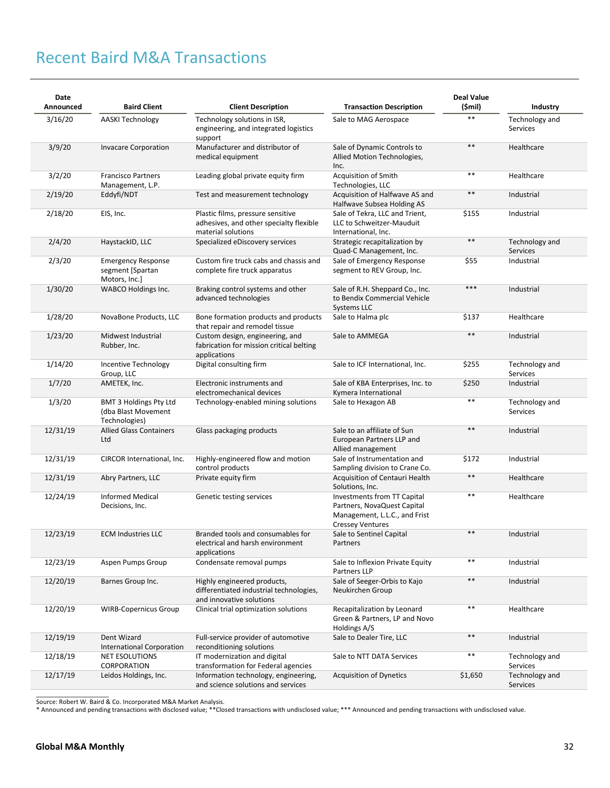# Recent Baird M&A Transactions

| Date<br>Announced | <b>Baird Client</b>                                                   | <b>Client Description</b>                                                                          | <b>Transaction Description</b>                                                                                         | <b>Deal Value</b><br>(\$mil) | Industry                   |
|-------------------|-----------------------------------------------------------------------|----------------------------------------------------------------------------------------------------|------------------------------------------------------------------------------------------------------------------------|------------------------------|----------------------------|
| 3/16/20           | <b>AASKI Technology</b>                                               | Technology solutions in ISR,<br>engineering, and integrated logistics<br>support                   | Sale to MAG Aerospace                                                                                                  | $**$                         | Technology and<br>Services |
| 3/9/20            | <b>Invacare Corporation</b>                                           | Manufacturer and distributor of<br>medical equipment                                               | Sale of Dynamic Controls to<br>Allied Motion Technologies,<br>Inc.                                                     | $\ast\ast$                   | Healthcare                 |
| 3/2/20            | <b>Francisco Partners</b><br>Management, L.P.                         | Leading global private equity firm                                                                 | Acquisition of Smith<br>Technologies, LLC                                                                              | $***$                        | Healthcare                 |
| 2/19/20           | Eddyfi/NDT                                                            | Test and measurement technology                                                                    | Acquisition of Halfwave AS and<br>Halfwave Subsea Holding AS                                                           | $***$                        | Industrial                 |
| 2/18/20           | EIS, Inc.                                                             | Plastic films, pressure sensitive<br>adhesives, and other specialty flexible<br>material solutions | Sale of Tekra, LLC and Trient,<br>LLC to Schweitzer-Mauduit<br>International, Inc.                                     | \$155                        | Industrial                 |
| 2/4/20            | HaystackID, LLC                                                       | Specialized eDiscovery services                                                                    | Strategic recapitalization by<br>Quad-C Management, Inc.                                                               | $\ast\ast$                   | Technology and<br>Services |
| 2/3/20            | <b>Emergency Response</b><br>segment [Spartan<br>Motors, Inc.]        | Custom fire truck cabs and chassis and<br>complete fire truck apparatus                            | Sale of Emergency Response<br>segment to REV Group, Inc.                                                               | \$55                         | Industrial                 |
| 1/30/20           | <b>WABCO Holdings Inc.</b>                                            | Braking control systems and other<br>advanced technologies                                         | Sale of R.H. Sheppard Co., Inc.<br>to Bendix Commercial Vehicle<br>Systems LLC                                         | $***$                        | Industrial                 |
| 1/28/20           | NovaBone Products, LLC                                                | Bone formation products and products<br>that repair and remodel tissue                             | Sale to Halma plc                                                                                                      | \$137                        | Healthcare                 |
| 1/23/20           | Midwest Industrial<br>Rubber, Inc.                                    | Custom design, engineering, and<br>fabrication for mission critical belting<br>applications        | Sale to AMMEGA                                                                                                         | $***$                        | Industrial                 |
| 1/14/20           | Incentive Technology<br>Group, LLC                                    | Digital consulting firm                                                                            | Sale to ICF International, Inc.                                                                                        | \$255                        | Technology and<br>Services |
| 1/7/20            | AMETEK, Inc.                                                          | Electronic instruments and<br>electromechanical devices                                            | Sale of KBA Enterprises, Inc. to<br>Kymera International                                                               | \$250                        | Industrial                 |
| 1/3/20            | <b>BMT 3 Holdings Pty Ltd</b><br>(dba Blast Movement<br>Technologies) | Technology-enabled mining solutions                                                                | Sale to Hexagon AB                                                                                                     | $\ast\ast$                   | Technology and<br>Services |
| 12/31/19          | <b>Allied Glass Containers</b><br>Ltd                                 | Glass packaging products                                                                           | Sale to an affiliate of Sun<br>European Partners LLP and<br>Allied management                                          | $\ast\ast$                   | Industrial                 |
| 12/31/19          | CIRCOR International, Inc.                                            | Highly-engineered flow and motion<br>control products                                              | Sale of Instrumentation and<br>Sampling division to Crane Co.                                                          | \$172                        | Industrial                 |
| 12/31/19          | Abry Partners, LLC                                                    | Private equity firm                                                                                | Acquisition of Centauri Health<br>Solutions, Inc.                                                                      | $***$                        | Healthcare                 |
| 12/24/19          | <b>Informed Medical</b><br>Decisions, Inc.                            | Genetic testing services                                                                           | Investments from TT Capital<br>Partners, NovaQuest Capital<br>Management, L.L.C., and Frist<br><b>Cressey Ventures</b> | $***$                        | Healthcare                 |
| 12/23/19          | <b>ECM Industries LLC</b>                                             | Branded tools and consumables for<br>electrical and harsh environment<br>applications              | Sale to Sentinel Capital<br>Partners                                                                                   | $\ast\ast$                   | Industrial                 |
| 12/23/19          | Aspen Pumps Group                                                     | Condensate removal pumps                                                                           | Sale to Inflexion Private Equity<br>Partners LLP                                                                       | $***$                        | Industrial                 |
| 12/20/19          | Barnes Group Inc.                                                     | Highly engineered products,<br>differentiated industrial technologies,<br>and innovative solutions | Sale of Seeger-Orbis to Kajo<br>Neukirchen Group                                                                       | $***$                        | Industrial                 |
| 12/20/19          | <b>WIRB-Copernicus Group</b>                                          | Clinical trial optimization solutions                                                              | Recapitalization by Leonard<br>Green & Partners, LP and Novo<br>Holdings A/S                                           | $***$                        | Healthcare                 |
| 12/19/19          | Dent Wizard<br><b>International Corporation</b>                       | Full-service provider of automotive<br>reconditioning solutions                                    | Sale to Dealer Tire, LLC                                                                                               | $***$                        | Industrial                 |
| 12/18/19          | <b>NET ESOLUTIONS</b><br>CORPORATION                                  | IT modernization and digital<br>transformation for Federal agencies                                | Sale to NTT DATA Services                                                                                              | $***$                        | Technology and<br>Services |
| 12/17/19          | Leidos Holdings, Inc.                                                 | Information technology, engineering,<br>and science solutions and services                         | <b>Acquisition of Dynetics</b>                                                                                         | \$1,650                      | Technology and<br>Services |

Source: Robert W. Baird & Co. Incorporated M&A Market Analysis.

\* Announced and pending transactions with disclosed value; \*\*Closed transactions with undisclosed value; \*\*\* Announced and pending transactions with undisclosed value.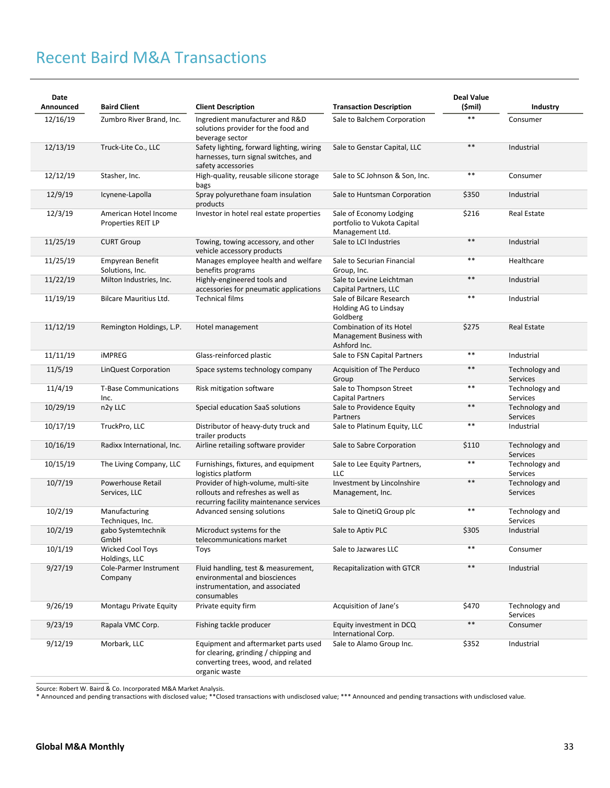# Recent Baird M&A Transactions

| Date<br>Announced | <b>Baird Client</b>                         | <b>Client Description</b>                                                                                                             | <b>Transaction Description</b>                                              | <b>Deal Value</b><br>(\$mil) | Industry                          |
|-------------------|---------------------------------------------|---------------------------------------------------------------------------------------------------------------------------------------|-----------------------------------------------------------------------------|------------------------------|-----------------------------------|
| 12/16/19          | Zumbro River Brand, Inc.                    | Ingredient manufacturer and R&D<br>solutions provider for the food and<br>beverage sector                                             | Sale to Balchem Corporation                                                 | $**$                         | Consumer                          |
| 12/13/19          | Truck-Lite Co., LLC                         | Safety lighting, forward lighting, wiring<br>harnesses, turn signal switches, and<br>safety accessories                               | Sale to Genstar Capital, LLC                                                | $\ast\ast$                   | Industrial                        |
| 12/12/19          | Stasher, Inc.                               | High-quality, reusable silicone storage<br>bags                                                                                       | Sale to SC Johnson & Son, Inc.                                              | $***$                        | Consumer                          |
| 12/9/19           | Icynene-Lapolla                             | Spray polyurethane foam insulation<br>products                                                                                        | Sale to Huntsman Corporation                                                | \$350                        | Industrial                        |
| 12/3/19           | American Hotel Income<br>Properties REIT LP | Investor in hotel real estate properties                                                                                              | Sale of Economy Lodging<br>portfolio to Vukota Capital<br>Management Ltd.   | \$216                        | <b>Real Estate</b>                |
| 11/25/19          | <b>CURT Group</b>                           | Towing, towing accessory, and other<br>vehicle accessory products                                                                     | Sale to LCI Industries                                                      | $***$                        | Industrial                        |
| 11/25/19          | <b>Empyrean Benefit</b><br>Solutions, Inc.  | Manages employee health and welfare<br>benefits programs                                                                              | Sale to Securian Financial<br>Group, Inc.                                   | $\ast\ast$                   | Healthcare                        |
| 11/22/19          | Milton Industries, Inc.                     | Highly-engineered tools and<br>accessories for pneumatic applications                                                                 | Sale to Levine Leichtman<br>Capital Partners, LLC                           | $***$                        | Industrial                        |
| 11/19/19          | <b>Bilcare Mauritius Ltd.</b>               | <b>Technical films</b>                                                                                                                | Sale of Bilcare Research<br>Holding AG to Lindsay<br>Goldberg               | $* *$                        | Industrial                        |
| 11/12/19          | Remington Holdings, L.P.                    | Hotel management                                                                                                                      | <b>Combination of its Hotel</b><br>Management Business with<br>Ashford Inc. | \$275                        | <b>Real Estate</b>                |
| 11/11/19          | <b>iMPREG</b>                               | Glass-reinforced plastic                                                                                                              | Sale to FSN Capital Partners                                                | $***$                        | Industrial                        |
| 11/5/19           | LinQuest Corporation                        | Space systems technology company                                                                                                      | Acquisition of The Perduco<br>Group                                         | $***$                        | Technology and<br>Services        |
| 11/4/19           | <b>T-Base Communications</b><br>Inc.        | Risk mitigation software                                                                                                              | Sale to Thompson Street<br>Capital Partners                                 | $* *$                        | Technology and<br>Services        |
| 10/29/19          | n2y LLC                                     | Special education SaaS solutions                                                                                                      | Sale to Providence Equity<br>Partners                                       | $***$                        | Technology and<br>Services        |
| 10/17/19          | TruckPro, LLC                               | Distributor of heavy-duty truck and<br>trailer products                                                                               | Sale to Platinum Equity, LLC                                                | $\ast\ast$                   | Industrial                        |
| 10/16/19          | Radixx International, Inc.                  | Airline retailing software provider                                                                                                   | Sale to Sabre Corporation                                                   | \$110                        | Technology and<br>Services        |
| 10/15/19          | The Living Company, LLC                     | Furnishings, fixtures, and equipment<br>logistics platform                                                                            | Sale to Lee Equity Partners,<br>LLC                                         | $* *$                        | Technology and<br>Services        |
| 10/7/19           | Powerhouse Retail<br>Services, LLC          | Provider of high-volume, multi-site<br>rollouts and refreshes as well as<br>recurring facility maintenance services                   | Investment by Lincolnshire<br>Management, Inc.                              | $***$                        | Technology and<br>Services        |
| 10/2/19           | Manufacturing<br>Techniques, Inc.           | Advanced sensing solutions                                                                                                            | Sale to QinetiQ Group plc                                                   | $***$                        | Technology and<br>Services        |
| 10/2/19           | gabo Systemtechnik<br>GmbH                  | Microduct systems for the<br>telecommunications market                                                                                | Sale to Aptiv PLC                                                           | \$305                        | Industrial                        |
| 10/1/19           | Wicked Cool Toys<br>Holdings, LLC           | Toys                                                                                                                                  | Sale to Jazwares LLC                                                        | $* *$                        | Consumer                          |
| 9/27/19           | Cole-Parmer Instrument<br>Company           | Fluid handling, test & measurement,<br>environmental and biosciences<br>instrumentation, and associated<br>consumables                | Recapitalization with GTCR                                                  | $\ast\ast$                   | Industrial                        |
| 9/26/19           | Montagu Private Equity                      | Private equity firm                                                                                                                   | Acquisition of Jane's                                                       | \$470                        | Technology and<br><b>Services</b> |
| 9/23/19           | Rapala VMC Corp.                            | Fishing tackle producer                                                                                                               | Equity investment in DCQ<br>International Corp.                             | $\ast\ast$                   | Consumer                          |
| 9/12/19           | Morbark, LLC                                | Equipment and aftermarket parts used<br>for clearing, grinding / chipping and<br>converting trees, wood, and related<br>organic waste | Sale to Alamo Group Inc.                                                    | \$352                        | Industrial                        |

Source: Robert W. Baird & Co. Incorporated M&A Market Analysis.

\* Announced and pending transactions with disclosed value; \*\*Closed transactions with undisclosed value; \*\*\* Announced and pending transactions with undisclosed value.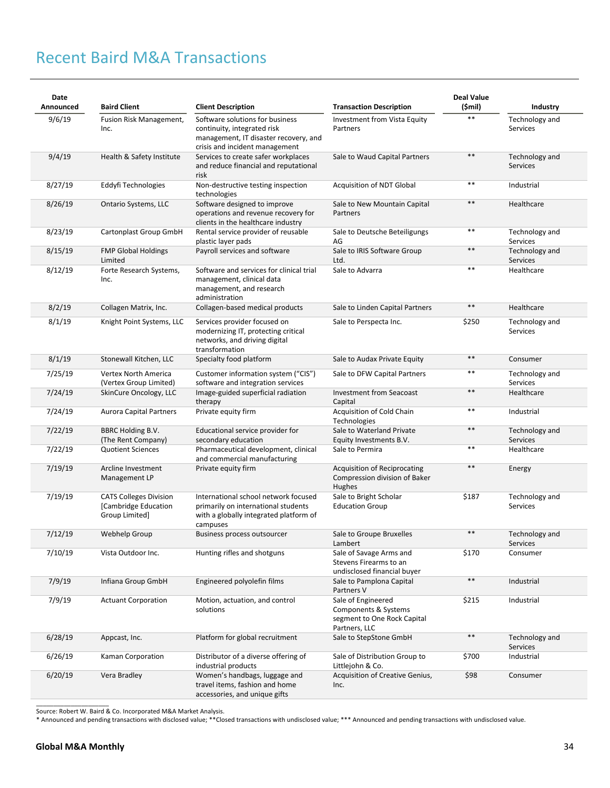# Recent Baird M&A Transactions

| Date<br>Announced | <b>Baird Client</b>                                                     | <b>Client Description</b>                                                                                                                 | <b>Transaction Description</b>                                                             | <b>Deal Value</b><br>(\$mil) | Industry                          |
|-------------------|-------------------------------------------------------------------------|-------------------------------------------------------------------------------------------------------------------------------------------|--------------------------------------------------------------------------------------------|------------------------------|-----------------------------------|
| 9/6/19            | Fusion Risk Management,<br>Inc.                                         | Software solutions for business<br>continuity, integrated risk<br>management, IT disaster recovery, and<br>crisis and incident management | Investment from Vista Equity<br>Partners                                                   | $***$                        | Technology and<br>Services        |
| 9/4/19            | Health & Safety Institute                                               | Services to create safer workplaces<br>and reduce financial and reputational<br>risk                                                      | Sale to Waud Capital Partners                                                              | $***$                        | Technology and<br><b>Services</b> |
| 8/27/19           | Eddyfi Technologies                                                     | Non-destructive testing inspection<br>technologies                                                                                        | Acquisition of NDT Global                                                                  | $***$                        | Industrial                        |
| 8/26/19           | Ontario Systems, LLC                                                    | Software designed to improve<br>operations and revenue recovery for<br>clients in the healthcare industry                                 | Sale to New Mountain Capital<br>Partners                                                   | $***$                        | Healthcare                        |
| 8/23/19           | Cartonplast Group GmbH                                                  | Rental service provider of reusable<br>plastic layer pads                                                                                 | Sale to Deutsche Beteiligungs<br>AG                                                        | $***$                        | Technology and<br>Services        |
| 8/15/19           | <b>FMP Global Holdings</b><br>Limited                                   | Payroll services and software                                                                                                             | Sale to IRIS Software Group<br>Ltd.                                                        | $***$                        | Technology and<br>Services        |
| 8/12/19           | Forte Research Systems,<br>Inc.                                         | Software and services for clinical trial<br>management, clinical data<br>management, and research<br>administration                       | Sale to Advarra                                                                            | $* *$                        | Healthcare                        |
| 8/2/19            | Collagen Matrix, Inc.                                                   | Collagen-based medical products                                                                                                           | Sale to Linden Capital Partners                                                            | $***$                        | Healthcare                        |
| 8/1/19            | Knight Point Systems, LLC                                               | Services provider focused on<br>modernizing IT, protecting critical<br>networks, and driving digital<br>transformation                    | Sale to Perspecta Inc.                                                                     | \$250                        | Technology and<br><b>Services</b> |
| 8/1/19            | Stonewall Kitchen, LLC                                                  | Specialty food platform                                                                                                                   | Sale to Audax Private Equity                                                               | $**$                         | Consumer                          |
| 7/25/19           | Vertex North America<br>(Vertex Group Limited)                          | Customer information system ("CIS")<br>software and integration services                                                                  | Sale to DFW Capital Partners                                                               | $***$                        | Technology and<br>Services        |
| 7/24/19           | SkinCure Oncology, LLC                                                  | Image-guided superficial radiation<br>therapy                                                                                             | <b>Investment from Seacoast</b><br>Capital                                                 | $***$                        | Healthcare                        |
| 7/24/19           | <b>Aurora Capital Partners</b>                                          | Private equity firm                                                                                                                       | Acquisition of Cold Chain<br>Technologies                                                  | $***$                        | Industrial                        |
| 7/22/19           | BBRC Holding B.V.<br>(The Rent Company)                                 | Educational service provider for<br>secondary education                                                                                   | Sale to Waterland Private<br>Equity Investments B.V.                                       | $**$                         | Technology and<br><b>Services</b> |
| 7/22/19           | <b>Quotient Sciences</b>                                                | Pharmaceutical development, clinical<br>and commercial manufacturing                                                                      | Sale to Permira                                                                            | $***$                        | Healthcare                        |
| 7/19/19           | Arcline Investment<br>Management LP                                     | Private equity firm                                                                                                                       | <b>Acquisition of Reciprocating</b><br>Compression division of Baker<br>Hughes             | $***$                        | Energy                            |
| 7/19/19           | <b>CATS Colleges Division</b><br>[Cambridge Education<br>Group Limited] | International school network focused<br>primarily on international students<br>with a globally integrated platform of<br>campuses         | Sale to Bright Scholar<br><b>Education Group</b>                                           | \$187                        | Technology and<br>Services        |
| 7/12/19           | Webhelp Group                                                           | Business process outsourcer                                                                                                               | Sale to Groupe Bruxelles<br>Lambert                                                        | $***$                        | Technology and<br><b>Services</b> |
| 7/10/19           | Vista Outdoor Inc.                                                      | Hunting rifles and shotguns                                                                                                               | Sale of Savage Arms and<br>Stevens Firearms to an<br>undisclosed financial buyer           | \$170                        | Consumer                          |
| 7/9/19            | Infiana Group GmbH                                                      | Engineered polyolefin films                                                                                                               | Sale to Pamplona Capital<br>Partners V                                                     | $***$                        | Industrial                        |
| 7/9/19            | <b>Actuant Corporation</b>                                              | Motion, actuation, and control<br>solutions                                                                                               | Sale of Engineered<br>Components & Systems<br>segment to One Rock Capital<br>Partners, LLC | \$215                        | Industrial                        |
| 6/28/19           | Appcast, Inc.                                                           | Platform for global recruitment                                                                                                           | Sale to StepStone GmbH                                                                     | $**$                         | Technology and<br>Services        |
| 6/26/19           | Kaman Corporation                                                       | Distributor of a diverse offering of<br>industrial products                                                                               | Sale of Distribution Group to<br>Littlejohn & Co.                                          | \$700                        | Industrial                        |
| 6/20/19           | Vera Bradley                                                            | Women's handbags, luggage and<br>travel items, fashion and home<br>accessories, and unique gifts                                          | Acquisition of Creative Genius,<br>Inc.                                                    | \$98                         | Consumer                          |

Source: Robert W. Baird & Co. Incorporated M&A Market Analysis.

\* Announced and pending transactions with disclosed value; \*\*Closed transactions with undisclosed value; \*\*\* Announced and pending transactions with undisclosed value.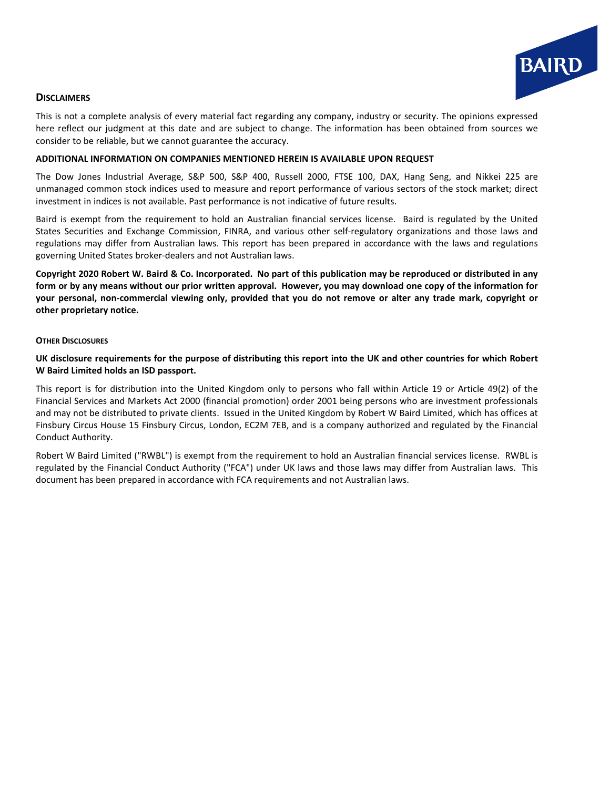

#### **DISCLAIMERS**

This is not a complete analysis of every material fact regarding any company, industry or security. The opinions expressed here reflect our judgment at this date and are subject to change. The information has been obtained from sources we consider to be reliable, but we cannot guarantee the accuracy.

#### **ADDITIONAL INFORMATION ON COMPANIES MENTIONED HEREIN IS AVAILABLE UPON REQUEST**

The Dow Jones Industrial Average, S&P 500, S&P 400, Russell 2000, FTSE 100, DAX, Hang Seng, and Nikkei 225 are unmanaged common stock indices used to measure and report performance of various sectors of the stock market; direct investment in indices is not available. Past performance is not indicative of future results.

Baird is exempt from the requirement to hold an Australian financial services license. Baird is regulated by the United States Securities and Exchange Commission, FINRA, and various other self-regulatory organizations and those laws and regulations may differ from Australian laws. This report has been prepared in accordance with the laws and regulations governing United States broker-dealers and not Australian laws.

**Copyright 2020 Robert W. Baird & Co. Incorporated. No part of this publication may be reproduced or distributed in any form or by any means without our prior written approval. However, you may download one copy of the information for your personal, non-commercial viewing only, provided that you do not remove or alter any trade mark, copyright or other proprietary notice.**

#### **OTHER DISCLOSURES**

**UK disclosure requirements for the purpose of distributing this report into the UK and other countries for which Robert W Baird Limited holds an ISD passport.**

This report is for distribution into the United Kingdom only to persons who fall within Article 19 or Article 49(2) of the Financial Services and Markets Act 2000 (financial promotion) order 2001 being persons who are investment professionals and may not be distributed to private clients. Issued in the United Kingdom by Robert W Baird Limited, which has offices at Finsbury Circus House 15 Finsbury Circus, London, EC2M 7EB, and is a company authorized and regulated by the Financial Conduct Authority.

Robert W Baird Limited ("RWBL") is exempt from the requirement to hold an Australian financial services license. RWBL is regulated by the Financial Conduct Authority ("FCA") under UK laws and those laws may differ from Australian laws. This document has been prepared in accordance with FCA requirements and not Australian laws.